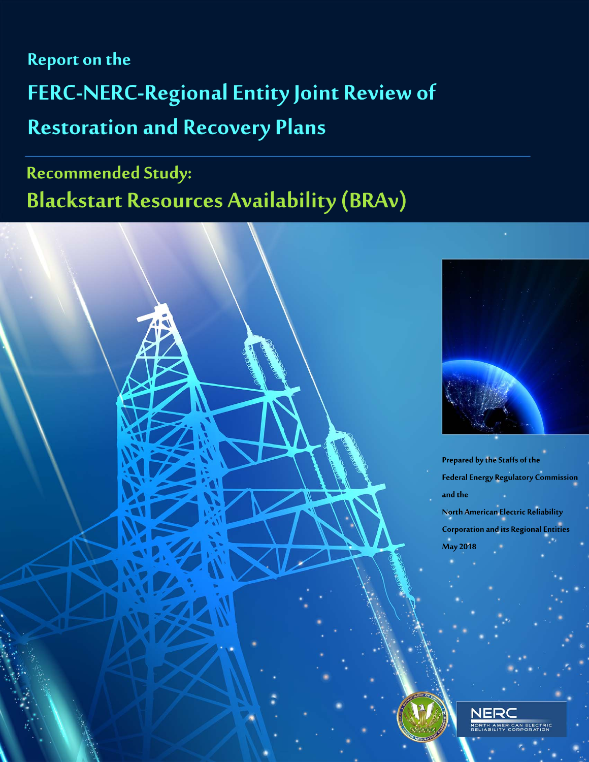**Report on the** FERC-NERC-Regional Entity Joint Review of **Restoration and Recovery Plans** 

# Recommended Study: **Blackstart Resources Availability (BRAv)**





Prepared by the Staffs of the **Federal Energy Regulatory Commission** and the North American Electric Reliability **Corporation and its Regional Entities** May 2018

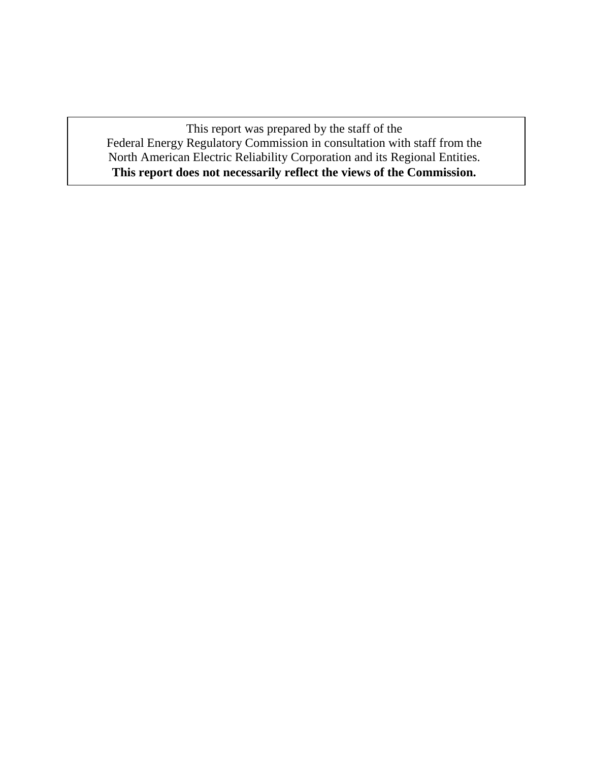This report was prepared by the staff of the Federal Energy Regulatory Commission in consultation with staff from the North American Electric Reliability Corporation and its Regional Entities. **This report does not necessarily reflect the views of the Commission.**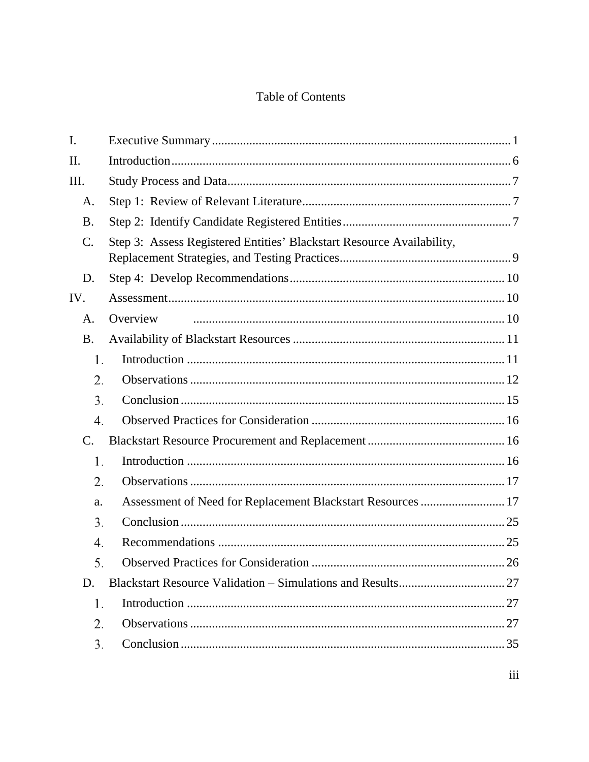# Table of Contents

| I.              |                                                                       |     |
|-----------------|-----------------------------------------------------------------------|-----|
| II.             |                                                                       |     |
| Ш.              |                                                                       |     |
| A.              |                                                                       |     |
| <b>B.</b>       |                                                                       |     |
| C.              | Step 3: Assess Registered Entities' Blackstart Resource Availability, |     |
| D.              |                                                                       |     |
| IV.             |                                                                       |     |
| A.              | Overview                                                              |     |
| <b>B.</b>       |                                                                       |     |
| 1.              |                                                                       |     |
| 2.              |                                                                       |     |
| 3.              |                                                                       |     |
| 4.              |                                                                       |     |
| $\mathcal{C}$ . |                                                                       |     |
| 1.              |                                                                       |     |
| 2.              |                                                                       |     |
| a.              | Assessment of Need for Replacement Blackstart Resources  17           |     |
| 3.              |                                                                       |     |
| 4.              |                                                                       |     |
| 5.              | Observed Practices for Consideration                                  | .26 |
| D.              |                                                                       |     |
| 1.              |                                                                       |     |
| 2.              |                                                                       |     |
| 3.              |                                                                       |     |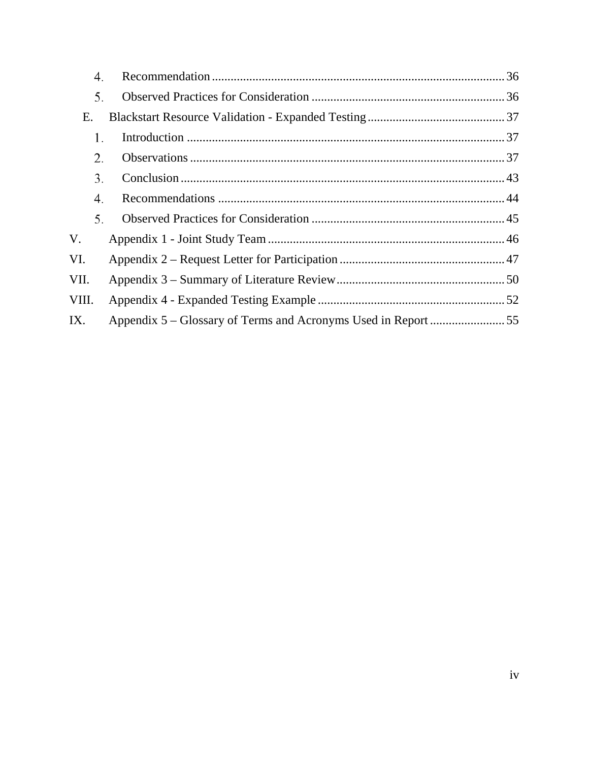| 4.    |  |
|-------|--|
| 5.    |  |
| Ε.    |  |
| 1.    |  |
| 2.    |  |
| 3.    |  |
| 4.    |  |
| 5.    |  |
| V.    |  |
| VI.   |  |
| VII.  |  |
| VIII. |  |
| IX.   |  |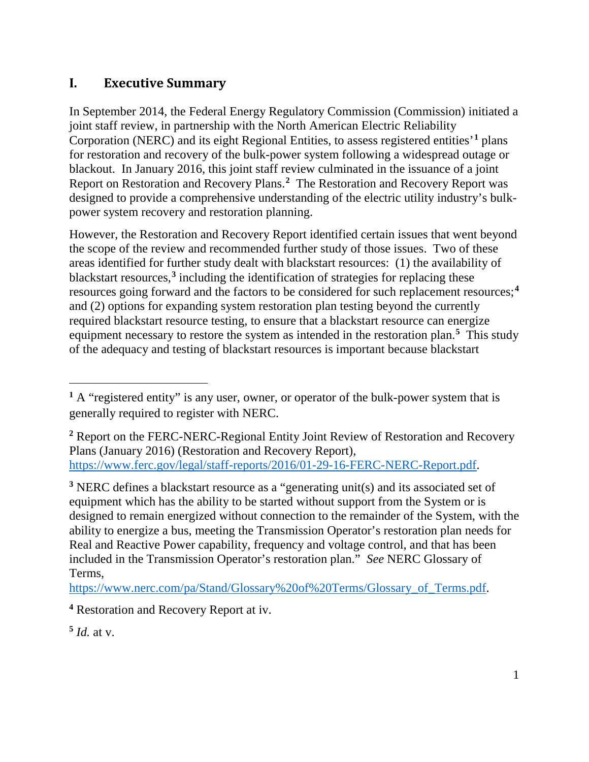# <span id="page-4-0"></span>**I. Executive Summary**

In September 2014, the Federal Energy Regulatory Commission (Commission) initiated a joint staff review, in partnership with the North American Electric Reliability Corporation (NERC) and its eight Regional Entities, to assess registered entities'**[1](#page-4-1)** plans for restoration and recovery of the bulk-power system following a widespread outage or blackout. In January 2016, this joint staff review culminated in the issuance of a joint Report on Restoration and Recovery Plans.**[2](#page-4-2)** The Restoration and Recovery Report was designed to provide a comprehensive understanding of the electric utility industry's bulkpower system recovery and restoration planning.

<span id="page-4-6"></span>However, the Restoration and Recovery Report identified certain issues that went beyond the scope of the review and recommended further study of those issues. Two of these areas identified for further study dealt with blackstart resources: (1) the availability of blackstart resources,**[3](#page-4-3)** including the identification of strategies for replacing these resources going forward and the factors to be considered for such replacement resources; **[4](#page-4-4)** and (2) options for expanding system restoration plan testing beyond the currently required blackstart resource testing, to ensure that a blackstart resource can energize equipment necessary to restore the system as intended in the restoration plan. **[5](#page-4-5)** This study of the adequacy and testing of blackstart resources is important because blackstart

<span id="page-4-3"></span>**<sup>3</sup>** NERC defines a blackstart resource as a "generating unit(s) and its associated set of equipment which has the ability to be started without support from the System or is designed to remain energized without connection to the remainder of the System, with the ability to energize a bus, meeting the Transmission Operator's restoration plan needs for Real and Reactive Power capability, frequency and voltage control, and that has been included in the Transmission Operator's restoration plan." *See* NERC Glossary of Terms,

[https://www.nerc.com/pa/Stand/Glossary%20of%20Terms/Glossary\\_of\\_Terms.pdf.](https://www.nerc.com/pa/Stand/Glossary%20of%20Terms/Glossary_of_Terms.pdf)

<span id="page-4-5"></span> $\frac{5}{4}$ *Id.* at v.

<span id="page-4-1"></span>**<sup>1</sup>** A "registered entity" is any user, owner, or operator of the bulk-power system that is generally required to register with NERC.

<span id="page-4-2"></span>**<sup>2</sup>** Report on the FERC-NERC-Regional Entity Joint Review of Restoration and Recovery Plans (January 2016) (Restoration and Recovery Report), [https://www.ferc.gov/legal/staff-reports/2016/01-29-16-FERC-NERC-Report.pdf.](https://www.ferc.gov/legal/staff-reports/2016/01-29-16-FERC-NERC-Report.pdf)

<span id="page-4-4"></span>**<sup>4</sup>** Restoration and Recovery Report at iv.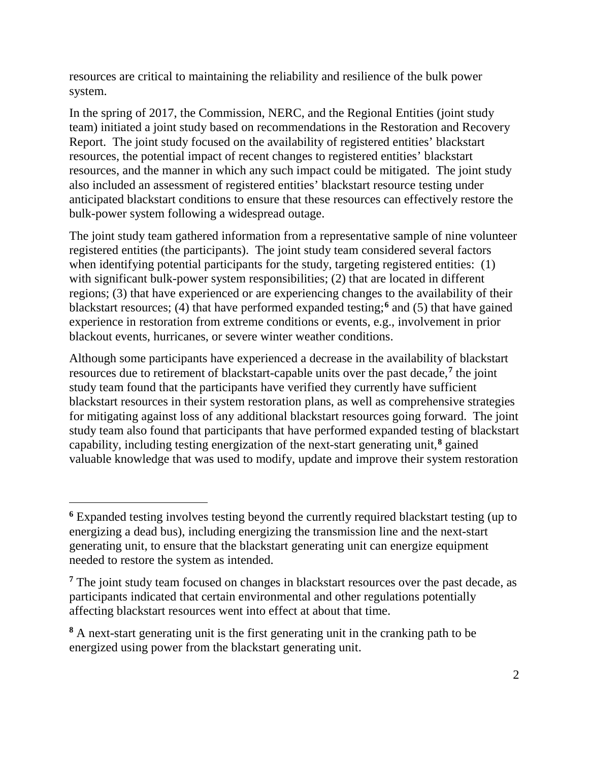resources are critical to maintaining the reliability and resilience of the bulk power system.

In the spring of 2017, the Commission, NERC, and the Regional Entities (joint study team) initiated a joint study based on recommendations in the Restoration and Recovery Report. The joint study focused on the availability of registered entities' blackstart resources, the potential impact of recent changes to registered entities' blackstart resources, and the manner in which any such impact could be mitigated. The joint study also included an assessment of registered entities' blackstart resource testing under anticipated blackstart conditions to ensure that these resources can effectively restore the bulk-power system following a widespread outage.

The joint study team gathered information from a representative sample of nine volunteer registered entities (the participants). The joint study team considered several factors when identifying potential participants for the study, targeting registered entities: (1) with significant bulk-power system responsibilities; (2) that are located in different regions; (3) that have experienced or are experiencing changes to the availability of their blackstart resources; (4) that have performed expanded testing; **[6](#page-5-0)** and (5) that have gained experience in restoration from extreme conditions or events, e.g., involvement in prior blackout events, hurricanes, or severe winter weather conditions.

Although some participants have experienced a decrease in the availability of blackstart resources due to retirement of blackstart-capable units over the past decade, **[7](#page-5-1)** the joint study team found that the participants have verified they currently have sufficient blackstart resources in their system restoration plans, as well as comprehensive strategies for mitigating against loss of any additional blackstart resources going forward. The joint study team also found that participants that have performed expanded testing of blackstart capability, including testing energization of the next-start generating unit, **[8](#page-5-2)** gained valuable knowledge that was used to modify, update and improve their system restoration

<span id="page-5-0"></span>**<sup>6</sup>** Expanded testing involves testing beyond the currently required blackstart testing (up to energizing a dead bus), including energizing the transmission line and the next-start generating unit, to ensure that the blackstart generating unit can energize equipment needed to restore the system as intended.

<span id="page-5-1"></span>**<sup>7</sup>** The joint study team focused on changes in blackstart resources over the past decade, as participants indicated that certain environmental and other regulations potentially affecting blackstart resources went into effect at about that time.

<span id="page-5-2"></span>**<sup>8</sup>** A next-start generating unit is the first generating unit in the cranking path to be energized using power from the blackstart generating unit.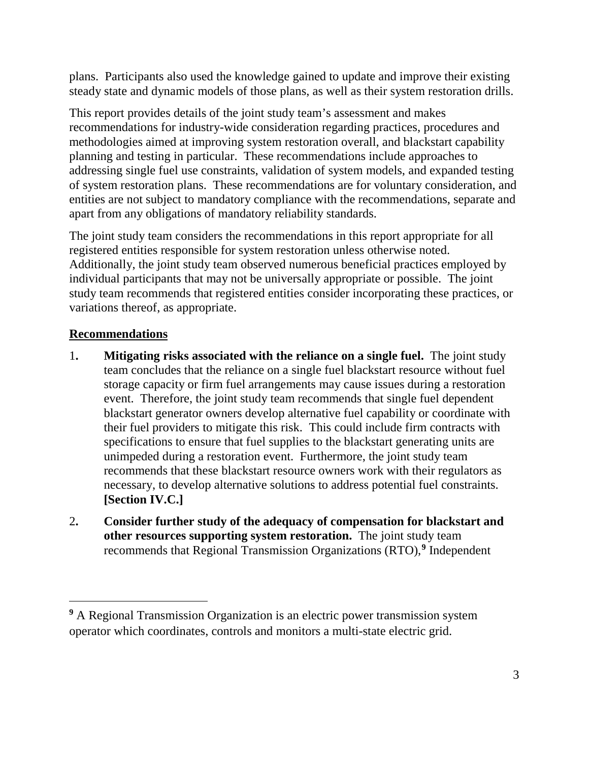plans. Participants also used the knowledge gained to update and improve their existing steady state and dynamic models of those plans, as well as their system restoration drills.

This report provides details of the joint study team's assessment and makes recommendations for industry-wide consideration regarding practices, procedures and methodologies aimed at improving system restoration overall, and blackstart capability planning and testing in particular. These recommendations include approaches to addressing single fuel use constraints, validation of system models, and expanded testing of system restoration plans. These recommendations are for voluntary consideration, and entities are not subject to mandatory compliance with the recommendations, separate and apart from any obligations of mandatory reliability standards.

The joint study team considers the recommendations in this report appropriate for all registered entities responsible for system restoration unless otherwise noted. Additionally, the joint study team observed numerous beneficial practices employed by individual participants that may not be universally appropriate or possible. The joint study team recommends that registered entities consider incorporating these practices, or variations thereof, as appropriate.

### **Recommendations**

- 1**. Mitigating risks associated with the reliance on a single fuel.** The joint study team concludes that the reliance on a single fuel blackstart resource without fuel storage capacity or firm fuel arrangements may cause issues during a restoration event. Therefore, the joint study team recommends that single fuel dependent blackstart generator owners develop alternative fuel capability or coordinate with their fuel providers to mitigate this risk. This could include firm contracts with specifications to ensure that fuel supplies to the blackstart generating units are unimpeded during a restoration event. Furthermore, the joint study team recommends that these blackstart resource owners work with their regulators as necessary, to develop alternative solutions to address potential fuel constraints. **[Section IV.C.]**
- 2**. Consider further study of the adequacy of compensation for blackstart and other resources supporting system restoration.** The joint study team recommends that Regional Transmission Organizations (RTO), **[9](#page-6-0)** Independent

<span id="page-6-0"></span>**<sup>9</sup>** A Regional Transmission Organization is an [electric power](https://en.wikipedia.org/wiki/Electric_power_transmission) [transmission system](https://en.wikipedia.org/wiki/Transmission_system_operator)  [operator](https://en.wikipedia.org/wiki/Transmission_system_operator) which coordinates, controls and monitors a multi-state electric [grid.](https://en.wikipedia.org/wiki/Grid_(electricity))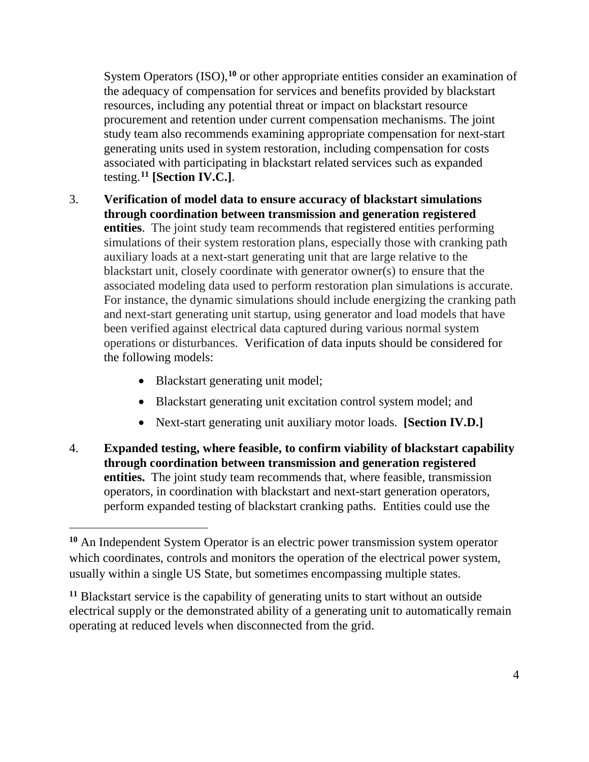System Operators (ISO),<sup>[10](#page-7-0)</sup> or other appropriate entities consider an examination of the adequacy of compensation for services and benefits provided by blackstart resources, including any potential threat or impact on blackstart resource procurement and retention under current compensation mechanisms. The joint study team also recommends examining appropriate compensation for next-start generating units used in system restoration, including compensation for costs associated with participating in blackstart related services such as expanded testing.**[11](#page-7-1) [Section IV.C.]**.

- 3. **Verification of model data to ensure accuracy of blackstart simulations through coordination between transmission and generation registered entities**. The joint study team recommends that registered entities performing simulations of their system restoration plans, especially those with cranking path auxiliary loads at a next-start generating unit that are large relative to the blackstart unit, closely coordinate with generator owner(s) to ensure that the associated modeling data used to perform restoration plan simulations is accurate. For instance, the dynamic simulations should include energizing the cranking path and next-start generating unit startup, using generator and load models that have been verified against electrical data captured during various normal system operations or disturbances. Verification of data inputs should be considered for the following models:
	- Blackstart generating unit model;

- Blackstart generating unit excitation control system model; and
- Next-start generating unit auxiliary motor loads. **[Section IV.D.]**
- 4. **Expanded testing, where feasible, to confirm viability of blackstart capability through coordination between transmission and generation registered entities.** The joint study team recommends that, where feasible, transmission operators, in coordination with blackstart and next-start generation operators, perform expanded testing of blackstart cranking paths. Entities could use the

<span id="page-7-0"></span>**<sup>10</sup>** An Independent System Operator is an [electric power](https://en.wikipedia.org/wiki/Electric_power_transmission) [transmission system operator](https://en.wikipedia.org/wiki/Transmission_system_operator) which coordinates, controls and monitors the operation of the [electrical power](https://en.wikipedia.org/wiki/Electric_power_transmission) system, usually within a single [US](https://en.wikipedia.org/wiki/United_States) State, but sometimes encompassing multiple states.

<span id="page-7-1"></span>**<sup>11</sup>** Blackstart service is the capability of generating units to start without an outside electrical supply or the demonstrated ability of a generating unit to automatically remain operating at reduced levels when disconnected from the grid.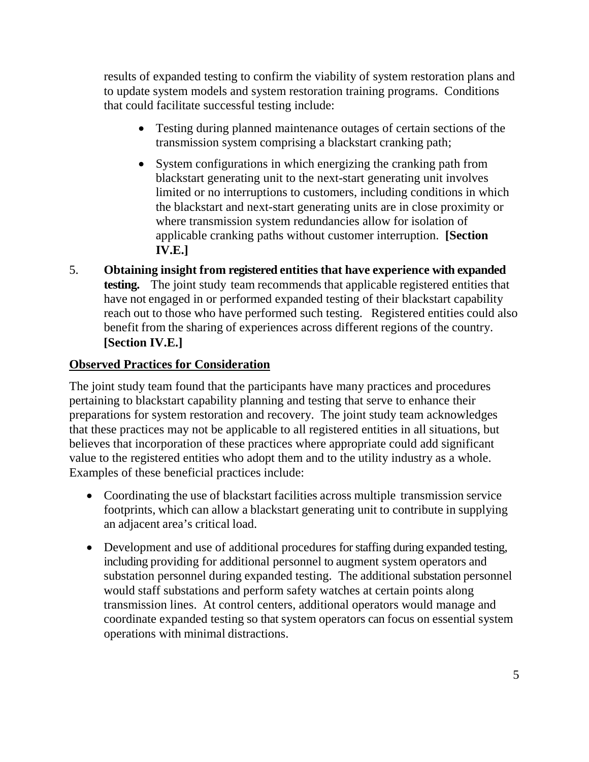results of expanded testing to confirm the viability of system restoration plans and to update system models and system restoration training programs. Conditions that could facilitate successful testing include:

- Testing during planned maintenance outages of certain sections of the transmission system comprising a blackstart cranking path;
- System configurations in which energizing the cranking path from blackstart generating unit to the next-start generating unit involves limited or no interruptions to customers, including conditions in which the blackstart and next-start generating units are in close proximity or where transmission system redundancies allow for isolation of applicable cranking paths without customer interruption. **[Section IV.E.]**
- 5. **Obtaining insight from registered entities that have experience with expanded testing.** The joint study team recommends that applicable registered entities that have not engaged in or performed expanded testing of their blackstart capability reach out to those who have performed such testing. Registered entities could also benefit from the sharing of experiences across different regions of the country. **[Section IV.E.]**

### **Observed Practices for Consideration**

The joint study team found that the participants have many practices and procedures pertaining to blackstart capability planning and testing that serve to enhance their preparations for system restoration and recovery. The joint study team acknowledges that these practices may not be applicable to all registered entities in all situations, but believes that incorporation of these practices where appropriate could add significant value to the registered entities who adopt them and to the utility industry as a whole. Examples of these beneficial practices include:

- Coordinating the use of blackstart facilities across multiple transmission service footprints, which can allow a blackstart generating unit to contribute in supplying an adjacent area's critical load.
- Development and use of additional procedures for staffing during expanded testing, including providing for additional personnel to augment system operators and substation personnel during expanded testing. The additional substation personnel would staff substations and perform safety watches at certain points along transmission lines. At control centers, additional operators would manage and coordinate expanded testing so that system operators can focus on essential system operations with minimal distractions.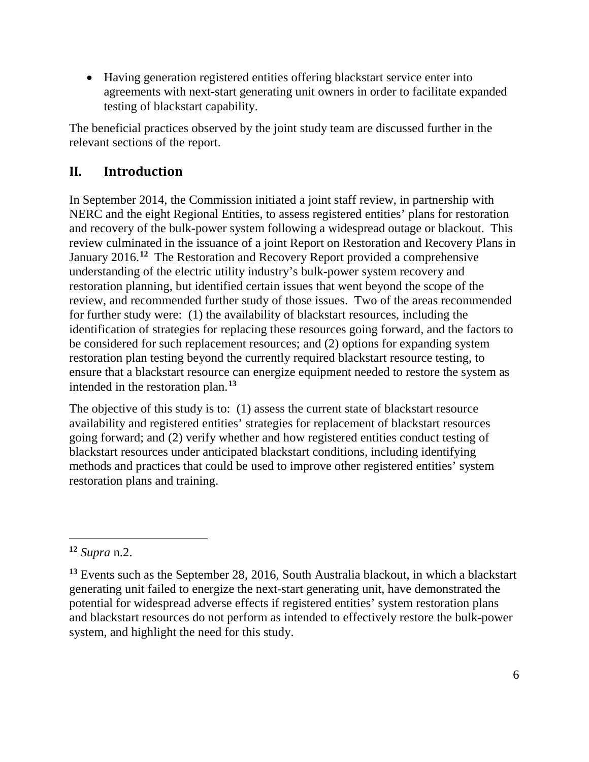• Having generation registered entities offering blackstart service enter into agreements with next-start generating unit owners in order to facilitate expanded testing of blackstart capability.

The beneficial practices observed by the joint study team are discussed further in the relevant sections of the report.

# <span id="page-9-0"></span>**II. Introduction**

In September 2014, the Commission initiated a joint staff review, in partnership with NERC and the eight Regional Entities, to assess registered entities' plans for restoration and recovery of the bulk-power system following a widespread outage or blackout. This review culminated in the issuance of a joint Report on Restoration and Recovery Plans in January 2016.**[12](#page-9-1)** The Restoration and Recovery Report provided a comprehensive understanding of the electric utility industry's bulk-power system recovery and restoration planning, but identified certain issues that went beyond the scope of the review, and recommended further study of those issues. Two of the areas recommended for further study were: (1) the availability of blackstart resources, including the identification of strategies for replacing these resources going forward, and the factors to be considered for such replacement resources; and (2) options for expanding system restoration plan testing beyond the currently required blackstart resource testing, to ensure that a blackstart resource can energize equipment needed to restore the system as intended in the restoration plan. **[13](#page-9-2)**

The objective of this study is to: (1) assess the current state of blackstart resource availability and registered entities' strategies for replacement of blackstart resources going forward; and (2) verify whether and how registered entities conduct testing of blackstart resources under anticipated blackstart conditions, including identifying methods and practices that could be used to improve other registered entities' system restoration plans and training.

<span id="page-9-1"></span>**<sup>12</sup>** *Supra* n[.2.](#page-4-6)

<span id="page-9-2"></span>**<sup>13</sup>** Events such as the September 28, 2016, South Australia blackout, in which a blackstart generating unit failed to energize the next-start generating unit, have demonstrated the potential for widespread adverse effects if registered entities' system restoration plans and blackstart resources do not perform as intended to effectively restore the bulk-power system, and highlight the need for this study.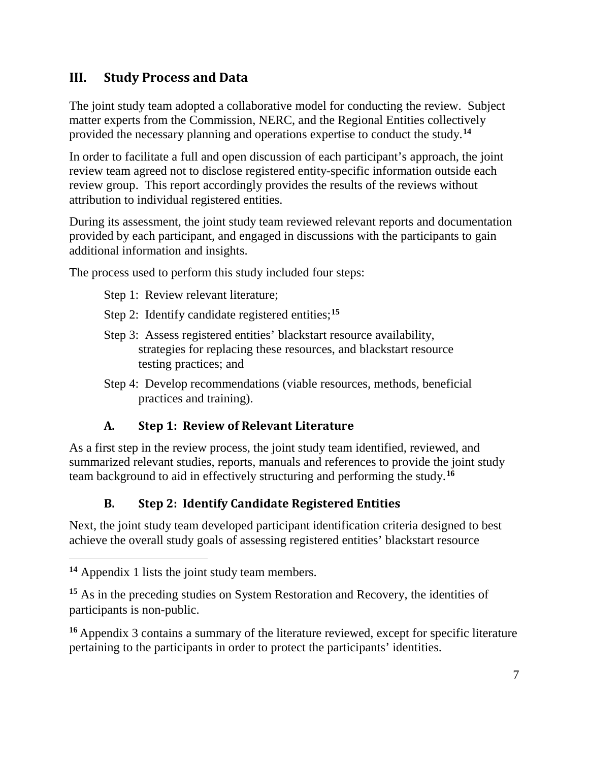# <span id="page-10-0"></span>**III. Study Process and Data**

The joint study team adopted a collaborative model for conducting the review. Subject matter experts from the Commission, NERC, and the Regional Entities collectively provided the necessary planning and operations expertise to conduct the study.**[14](#page-10-3)**

In order to facilitate a full and open discussion of each participant's approach, the joint review team agreed not to disclose registered entity-specific information outside each review group. This report accordingly provides the results of the reviews without attribution to individual registered entities.

During its assessment, the joint study team reviewed relevant reports and documentation provided by each participant, and engaged in discussions with the participants to gain additional information and insights.

The process used to perform this study included four steps:

- Step 1: Review relevant literature;
- Step 2: Identify candidate registered entities;**[15](#page-10-4)**
- Step 3: Assess registered entities' blackstart resource availability, strategies for replacing these resources, and blackstart resource testing practices; and
- Step 4: Develop recommendations (viable resources, methods, beneficial practices and training).

### **A. Step 1: Review of Relevant Literature**

<span id="page-10-1"></span>As a first step in the review process, the joint study team identified, reviewed, and summarized relevant studies, reports, manuals and references to provide the joint study team background to aid in effectively structuring and performing the study.**[16](#page-10-5)**

### **B. Step 2: Identify Candidate Registered Entities**

<span id="page-10-2"></span>Next, the joint study team developed participant identification criteria designed to best achieve the overall study goals of assessing registered entities' blackstart resource

<span id="page-10-3"></span>**<sup>14</sup>** Appendix 1 lists the joint study team members.

<span id="page-10-4"></span>**<sup>15</sup>** As in the preceding studies on System Restoration and Recovery, the identities of participants is non-public.

<span id="page-10-5"></span>**<sup>16</sup>** Appendix 3 contains a summary of the literature reviewed, except for specific literature pertaining to the participants in order to protect the participants' identities.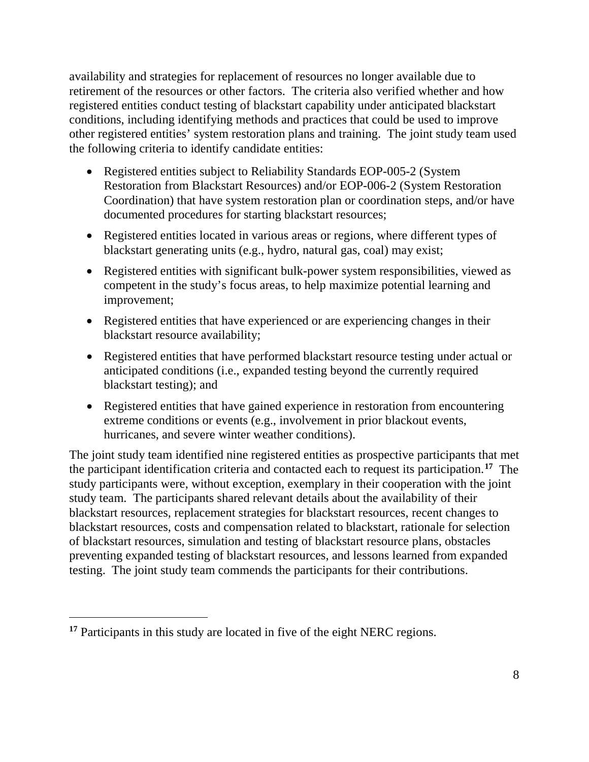availability and strategies for replacement of resources no longer available due to retirement of the resources or other factors. The criteria also verified whether and how registered entities conduct testing of blackstart capability under anticipated blackstart conditions, including identifying methods and practices that could be used to improve other registered entities' system restoration plans and training. The joint study team used the following criteria to identify candidate entities:

- Registered entities subject to Reliability Standards EOP-005-2 (System Restoration from Blackstart Resources) and/or EOP-006-2 (System Restoration Coordination) that have system restoration plan or coordination steps, and/or have documented procedures for starting blackstart resources;
- Registered entities located in various areas or regions, where different types of blackstart generating units (e.g., hydro, natural gas, coal) may exist;
- Registered entities with significant bulk-power system responsibilities, viewed as competent in the study's focus areas, to help maximize potential learning and improvement;
- Registered entities that have experienced or are experiencing changes in their blackstart resource availability;
- Registered entities that have performed blackstart resource testing under actual or anticipated conditions (i.e., expanded testing beyond the currently required blackstart testing); and
- Registered entities that have gained experience in restoration from encountering extreme conditions or events (e.g., involvement in prior blackout events, hurricanes, and severe winter weather conditions).

The joint study team identified nine registered entities as prospective participants that met the participant identification criteria and contacted each to request its participation.**[17](#page-11-0)** The study participants were, without exception, exemplary in their cooperation with the joint study team. The participants shared relevant details about the availability of their blackstart resources, replacement strategies for blackstart resources, recent changes to blackstart resources, costs and compensation related to blackstart, rationale for selection of blackstart resources, simulation and testing of blackstart resource plans, obstacles preventing expanded testing of blackstart resources, and lessons learned from expanded testing. The joint study team commends the participants for their contributions.

<span id="page-11-0"></span>**<sup>17</sup>** Participants in this study are located in five of the eight NERC regions.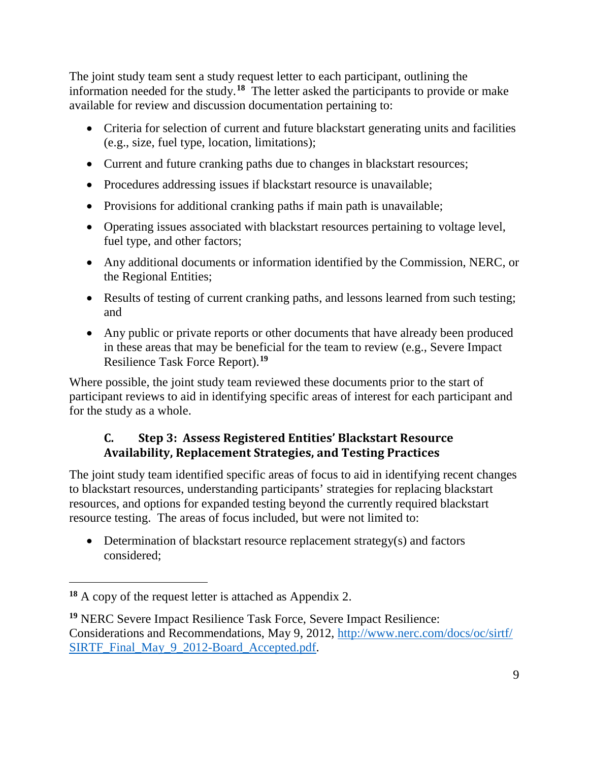The joint study team sent a study request letter to each participant, outlining the information needed for the study.**[18](#page-12-1)** The letter asked the participants to provide or make available for review and discussion documentation pertaining to:

- Criteria for selection of current and future blackstart generating units and facilities (e.g., size, fuel type, location, limitations);
- Current and future cranking paths due to changes in blackstart resources;
- Procedures addressing issues if blackstart resource is unavailable;
- Provisions for additional cranking paths if main path is unavailable;
- Operating issues associated with blackstart resources pertaining to voltage level, fuel type, and other factors;
- Any additional documents or information identified by the Commission, NERC, or the Regional Entities;
- Results of testing of current cranking paths, and lessons learned from such testing; and
- Any public or private reports or other documents that have already been produced in these areas that may be beneficial for the team to review (e.g., Severe Impact Resilience Task Force Report).**[19](#page-12-2)**

Where possible, the joint study team reviewed these documents prior to the start of participant reviews to aid in identifying specific areas of interest for each participant and for the study as a whole.

### <span id="page-12-0"></span>**C. Step 3: Assess Registered Entities' Blackstart Resource Availability, Replacement Strategies, and Testing Practices**

The joint study team identified specific areas of focus to aid in identifying recent changes to blackstart resources, understanding participants' strategies for replacing blackstart resources, and options for expanded testing beyond the currently required blackstart resource testing. The areas of focus included, but were not limited to:

• Determination of blackstart resource replacement strategy(s) and factors considered;

<span id="page-12-1"></span>**<sup>18</sup>** A copy of the request letter is attached as Appendix 2.

<span id="page-12-2"></span>**<sup>19</sup>** NERC Severe Impact Resilience Task Force, Severe Impact Resilience: Considerations and Recommendations, May 9, 2012, [http://www.nerc.com/docs/oc/sirtf/](http://www.nerc.com/docs/oc/sirtf/SIRTF_Final_May_9_2012-Board_Accepted.pdf) [SIRTF\\_Final\\_May\\_9\\_2012-Board\\_Accepted.pdf.](http://www.nerc.com/docs/oc/sirtf/SIRTF_Final_May_9_2012-Board_Accepted.pdf)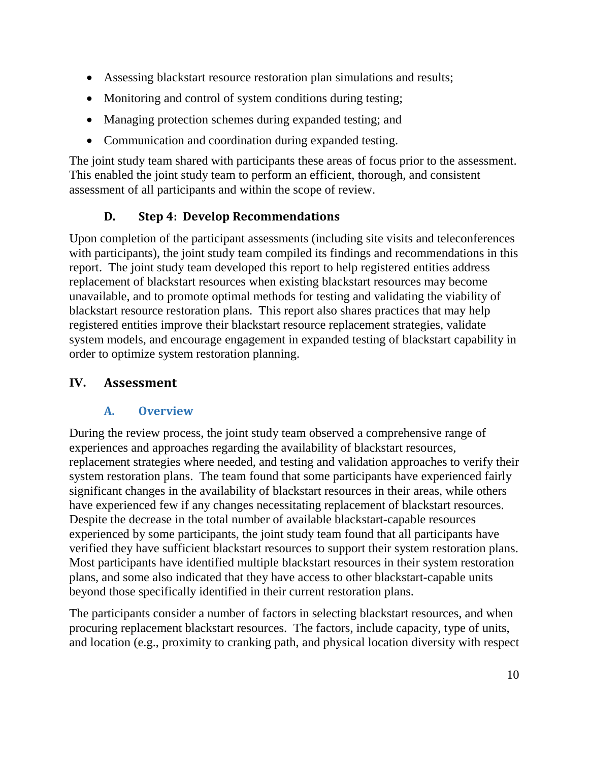- Assessing blackstart resource restoration plan simulations and results;
- Monitoring and control of system conditions during testing;
- Managing protection schemes during expanded testing; and
- Communication and coordination during expanded testing.

The joint study team shared with participants these areas of focus prior to the assessment. This enabled the joint study team to perform an efficient, thorough, and consistent assessment of all participants and within the scope of review.

# **D. Step 4: Develop Recommendations**

<span id="page-13-0"></span>Upon completion of the participant assessments (including site visits and teleconferences with participants), the joint study team compiled its findings and recommendations in this report. The joint study team developed this report to help registered entities address replacement of blackstart resources when existing blackstart resources may become unavailable, and to promote optimal methods for testing and validating the viability of blackstart resource restoration plans. This report also shares practices that may help registered entities improve their blackstart resource replacement strategies, validate system models, and encourage engagement in expanded testing of blackstart capability in order to optimize system restoration planning.

### <span id="page-13-1"></span>**IV. Assessment**

### **A. Overview**

<span id="page-13-2"></span>During the review process, the joint study team observed a comprehensive range of experiences and approaches regarding the availability of blackstart resources, replacement strategies where needed, and testing and validation approaches to verify their system restoration plans. The team found that some participants have experienced fairly significant changes in the availability of blackstart resources in their areas, while others have experienced few if any changes necessitating replacement of blackstart resources. Despite the decrease in the total number of available blackstart-capable resources experienced by some participants, the joint study team found that all participants have verified they have sufficient blackstart resources to support their system restoration plans. Most participants have identified multiple blackstart resources in their system restoration plans, and some also indicated that they have access to other blackstart-capable units beyond those specifically identified in their current restoration plans.

The participants consider a number of factors in selecting blackstart resources, and when procuring replacement blackstart resources. The factors, include capacity, type of units, and location (e.g., proximity to cranking path, and physical location diversity with respect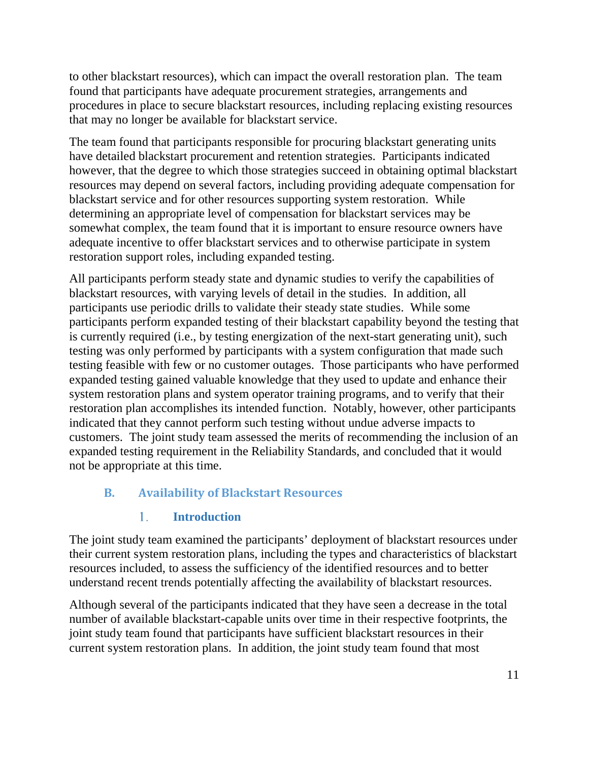to other blackstart resources), which can impact the overall restoration plan. The team found that participants have adequate procurement strategies, arrangements and procedures in place to secure blackstart resources, including replacing existing resources that may no longer be available for blackstart service.

The team found that participants responsible for procuring blackstart generating units have detailed blackstart procurement and retention strategies. Participants indicated however, that the degree to which those strategies succeed in obtaining optimal blackstart resources may depend on several factors, including providing adequate compensation for blackstart service and for other resources supporting system restoration. While determining an appropriate level of compensation for blackstart services may be somewhat complex, the team found that it is important to ensure resource owners have adequate incentive to offer blackstart services and to otherwise participate in system restoration support roles, including expanded testing.

All participants perform steady state and dynamic studies to verify the capabilities of blackstart resources, with varying levels of detail in the studies. In addition, all participants use periodic drills to validate their steady state studies. While some participants perform expanded testing of their blackstart capability beyond the testing that is currently required (i.e., by testing energization of the next-start generating unit), such testing was only performed by participants with a system configuration that made such testing feasible with few or no customer outages. Those participants who have performed expanded testing gained valuable knowledge that they used to update and enhance their system restoration plans and system operator training programs, and to verify that their restoration plan accomplishes its intended function. Notably, however, other participants indicated that they cannot perform such testing without undue adverse impacts to customers. The joint study team assessed the merits of recommending the inclusion of an expanded testing requirement in the Reliability Standards, and concluded that it would not be appropriate at this time.

### <span id="page-14-0"></span>**B. Availability of Blackstart Resources**

#### 1. **Introduction**

<span id="page-14-1"></span>The joint study team examined the participants' deployment of blackstart resources under their current system restoration plans, including the types and characteristics of blackstart resources included, to assess the sufficiency of the identified resources and to better understand recent trends potentially affecting the availability of blackstart resources.

Although several of the participants indicated that they have seen a decrease in the total number of available blackstart-capable units over time in their respective footprints, the joint study team found that participants have sufficient blackstart resources in their current system restoration plans. In addition, the joint study team found that most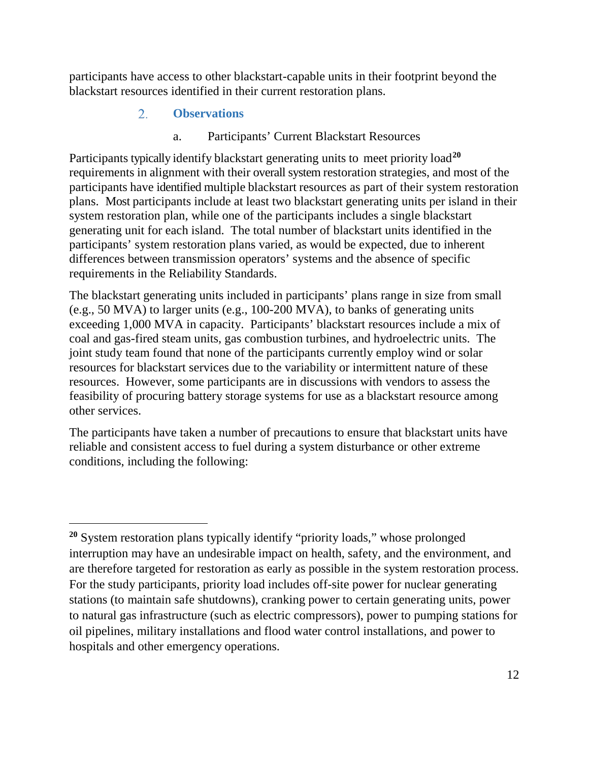<span id="page-15-0"></span>participants have access to other blackstart-capable units in their footprint beyond the blackstart resources identified in their current restoration plans.

#### $2.$ **Observations**

 $\overline{a}$ 

a. Participants' Current Blackstart Resources

Participants typically identify blackstart generating units to meet priority load<sup>[20](#page-15-1)</sup> requirements in alignment with their overall system restoration strategies, and most of the participants have identified multiple blackstart resources as part of their system restoration plans. Most participants include at least two blackstart generating units per island in their system restoration plan, while one of the participants includes a single blackstart generating unit for each island. The total number of blackstart units identified in the participants' system restoration plans varied, as would be expected, due to inherent differences between transmission operators' systems and the absence of specific requirements in the Reliability Standards.

The blackstart generating units included in participants' plans range in size from small (e.g., 50 MVA) to larger units (e.g., 100-200 MVA), to banks of generating units exceeding 1,000 MVA in capacity. Participants' blackstart resources include a mix of coal and gas-fired steam units, gas combustion turbines, and hydroelectric units. The joint study team found that none of the participants currently employ wind or solar resources for blackstart services due to the variability or intermittent nature of these resources. However, some participants are in discussions with vendors to assess the feasibility of procuring battery storage systems for use as a blackstart resource among other services.

The participants have taken a number of precautions to ensure that blackstart units have reliable and consistent access to fuel during a system disturbance or other extreme conditions, including the following:

<span id="page-15-1"></span>**<sup>20</sup>** System restoration plans typically identify "priority loads," whose prolonged interruption may have an undesirable impact on health, safety, and the environment, and are therefore targeted for restoration as early as possible in the system restoration process. For the study participants, priority load includes off-site power for nuclear generating stations (to maintain safe shutdowns), cranking power to certain generating units, power to natural gas infrastructure (such as electric compressors), power to pumping stations for oil pipelines, military installations and flood water control installations, and power to hospitals and other emergency operations.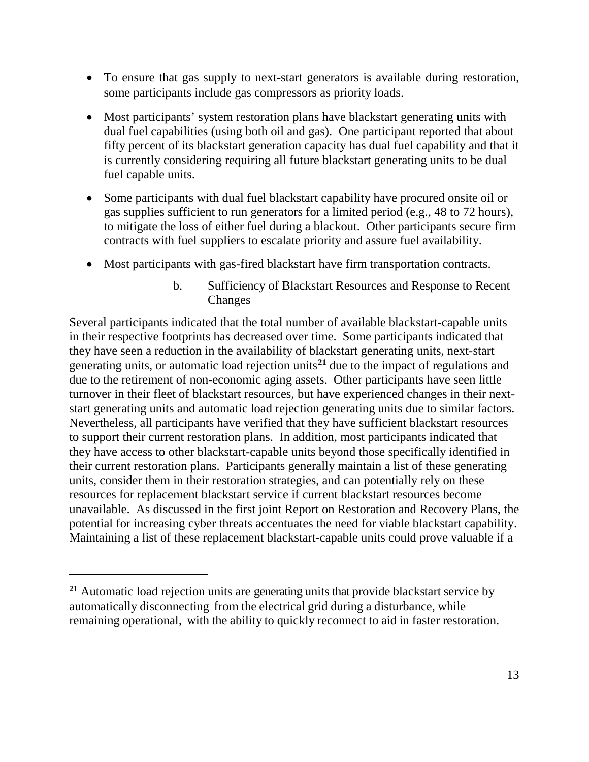- To ensure that gas supply to next-start generators is available during restoration, some participants include gas compressors as priority loads.
- Most participants' system restoration plans have blackstart generating units with dual fuel capabilities (using both oil and gas). One participant reported that about fifty percent of its blackstart generation capacity has dual fuel capability and that it is currently considering requiring all future blackstart generating units to be dual fuel capable units.
- Some participants with dual fuel blackstart capability have procured onsite oil or gas supplies sufficient to run generators for a limited period (e.g., 48 to 72 hours), to mitigate the loss of either fuel during a blackout. Other participants secure firm contracts with fuel suppliers to escalate priority and assure fuel availability.
- Most participants with gas-fired blackstart have firm transportation contracts.
	- b. Sufficiency of Blackstart Resources and Response to Recent Changes

Several participants indicated that the total number of available blackstart-capable units in their respective footprints has decreased over time. Some participants indicated that they have seen a reduction in the availability of blackstart generating units, next-start generating units, or automatic load rejection units**[21](#page-16-0)** due to the impact of regulations and due to the retirement of non-economic aging assets. Other participants have seen little turnover in their fleet of blackstart resources, but have experienced changes in their nextstart generating units and automatic load rejection generating units due to similar factors. Nevertheless, all participants have verified that they have sufficient blackstart resources to support their current restoration plans. In addition, most participants indicated that they have access to other blackstart-capable units beyond those specifically identified in their current restoration plans. Participants generally maintain a list of these generating units, consider them in their restoration strategies, and can potentially rely on these resources for replacement blackstart service if current blackstart resources become unavailable. As discussed in the first joint Report on Restoration and Recovery Plans, the potential for increasing cyber threats accentuates the need for viable blackstart capability. Maintaining a list of these replacement blackstart-capable units could prove valuable if a

<span id="page-16-0"></span>**<sup>21</sup>** Automatic load rejection units are generating units that provide blackstart service by automatically disconnecting from the electrical grid during a disturbance, while remaining operational, with the ability to quickly reconnect to aid in faster restoration.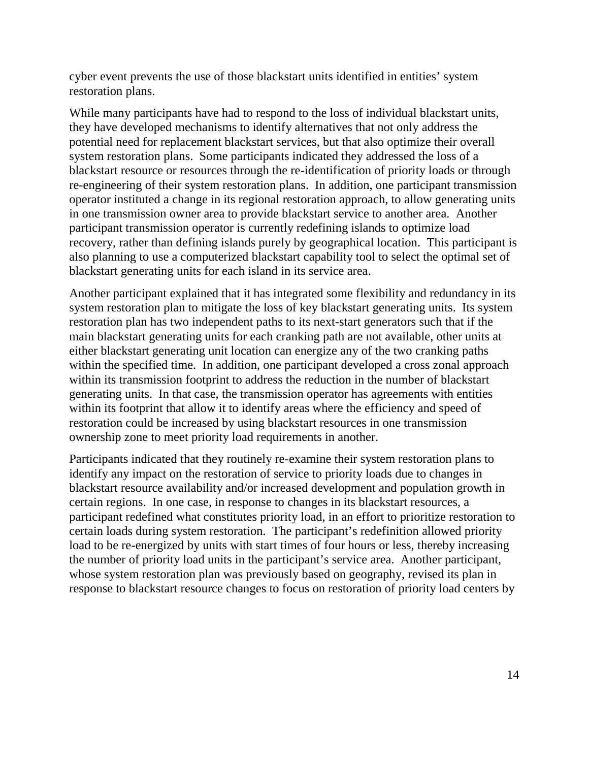cyber event prevents the use of those blackstart units identified in entities' system restoration plans.

While many participants have had to respond to the loss of individual blackstart units, they have developed mechanisms to identify alternatives that not only address the potential need for replacement blackstart services, but that also optimize their overall system restoration plans. Some participants indicated they addressed the loss of a blackstart resource or resources through the re-identification of priority loads or through re-engineering of their system restoration plans. In addition, one participant transmission operator instituted a change in its regional restoration approach, to allow generating units in one transmission owner area to provide blackstart service to another area. Another participant transmission operator is currently redefining islands to optimize load recovery, rather than defining islands purely by geographical location. This participant is also planning to use a computerized blackstart capability tool to select the optimal set of blackstart generating units for each island in its service area.

Another participant explained that it has integrated some flexibility and redundancy in its system restoration plan to mitigate the loss of key blackstart generating units. Its system restoration plan has two independent paths to its next-start generators such that if the main blackstart generating units for each cranking path are not available, other units at either blackstart generating unit location can energize any of the two cranking paths within the specified time. In addition, one participant developed a cross zonal approach within its transmission footprint to address the reduction in the number of blackstart generating units. In that case, the transmission operator has agreements with entities within its footprint that allow it to identify areas where the efficiency and speed of restoration could be increased by using blackstart resources in one transmission ownership zone to meet priority load requirements in another.

Participants indicated that they routinely re-examine their system restoration plans to identify any impact on the restoration of service to priority loads due to changes in blackstart resource availability and/or increased development and population growth in certain regions. In one case, in response to changes in its blackstart resources, a participant redefined what constitutes priority load, in an effort to prioritize restoration to certain loads during system restoration. The participant's redefinition allowed priority load to be re-energized by units with start times of four hours or less, thereby increasing the number of priority load units in the participant's service area. Another participant, whose system restoration plan was previously based on geography, revised its plan in response to blackstart resource changes to focus on restoration of priority load centers by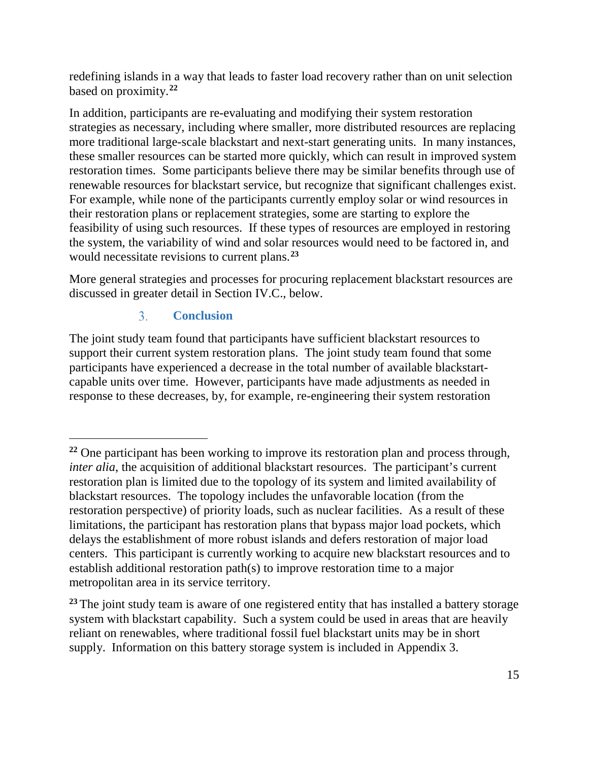redefining islands in a way that leads to faster load recovery rather than on unit selection based on proximity. **[22](#page-18-1)**

In addition, participants are re-evaluating and modifying their system restoration strategies as necessary, including where smaller, more distributed resources are replacing more traditional large-scale blackstart and next-start generating units. In many instances, these smaller resources can be started more quickly, which can result in improved system restoration times. Some participants believe there may be similar benefits through use of renewable resources for blackstart service, but recognize that significant challenges exist. For example, while none of the participants currently employ solar or wind resources in their restoration plans or replacement strategies, some are starting to explore the feasibility of using such resources. If these types of resources are employed in restoring the system, the variability of wind and solar resources would need to be factored in, and would necessitate revisions to current plans.**[23](#page-18-2)**

More general strategies and processes for procuring replacement blackstart resources are discussed in greater detail in Section IV.C., below.

#### $3<sub>1</sub>$ **Conclusion**

 $\overline{a}$ 

<span id="page-18-0"></span>The joint study team found that participants have sufficient blackstart resources to support their current system restoration plans. The joint study team found that some participants have experienced a decrease in the total number of available blackstartcapable units over time. However, participants have made adjustments as needed in response to these decreases, by, for example, re-engineering their system restoration

<span id="page-18-1"></span>**<sup>22</sup>** One participant has been working to improve its restoration plan and process through, *inter alia*, the acquisition of additional blackstart resources. The participant's current restoration plan is limited due to the topology of its system and limited availability of blackstart resources. The topology includes the unfavorable location (from the restoration perspective) of priority loads, such as nuclear facilities. As a result of these limitations, the participant has restoration plans that bypass major load pockets, which delays the establishment of more robust islands and defers restoration of major load centers. This participant is currently working to acquire new blackstart resources and to establish additional restoration path(s) to improve restoration time to a major metropolitan area in its service territory.

<span id="page-18-2"></span><sup>&</sup>lt;sup>23</sup> The joint study team is aware of one registered entity that has installed a battery storage system with blackstart capability. Such a system could be used in areas that are heavily reliant on renewables, where traditional fossil fuel blackstart units may be in short supply. Information on this battery storage system is included in Appendix 3.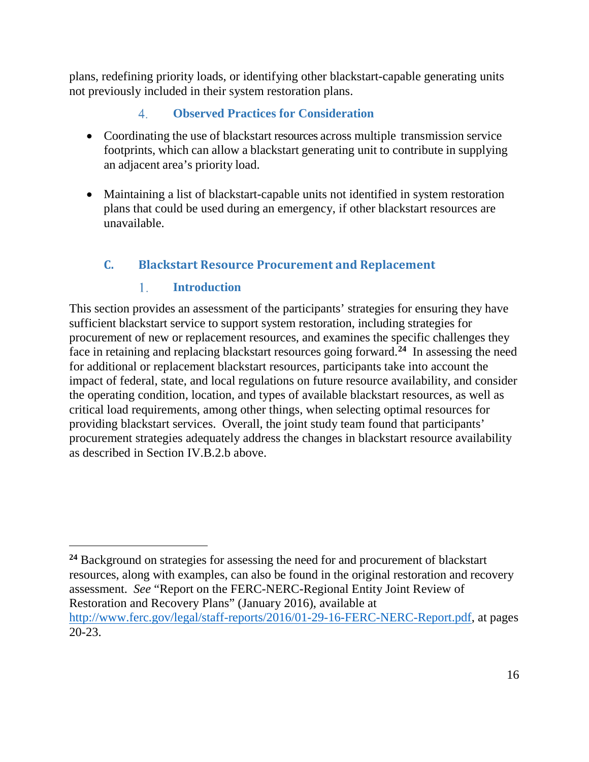plans, redefining priority loads, or identifying other blackstart-capable generating units not previously included in their system restoration plans.

#### $4.$ **Observed Practices for Consideration**

- <span id="page-19-0"></span>• Coordinating the use of blackstart resources across multiple transmission service footprints, which can allow a blackstart generating unit to contribute in supplying an adjacent area's priority load.
- Maintaining a list of blackstart-capable units not identified in system restoration plans that could be used during an emergency, if other blackstart resources are unavailable.

# <span id="page-19-1"></span>**C. Blackstart Resource Procurement and Replacement**

#### **Introduction** 1.

 $\overline{a}$ 

<span id="page-19-2"></span>This section provides an assessment of the participants' strategies for ensuring they have sufficient blackstart service to support system restoration, including strategies for procurement of new or replacement resources, and examines the specific challenges they face in retaining and replacing blackstart resources going forward. **[24](#page-19-3)** In assessing the need for additional or replacement blackstart resources, participants take into account the impact of federal, state, and local regulations on future resource availability, and consider the operating condition, location, and types of available blackstart resources, as well as critical load requirements, among other things, when selecting optimal resources for providing blackstart services. Overall, the joint study team found that participants' procurement strategies adequately address the changes in blackstart resource availability as described in Section IV.B.2.b above.

<span id="page-19-3"></span><sup>&</sup>lt;sup>24</sup> Background on strategies for assessing the need for and procurement of blackstart resources, along with examples, can also be found in the original restoration and recovery assessment. *See* "Report on the FERC-NERC-Regional Entity Joint Review of Restoration and Recovery Plans" (January 2016), available at [http://www.ferc.gov/legal/staff-reports/2016/01-29-16-FERC-NERC-Report.pdf,](http://www.ferc.gov/legal/staff-reports/2016/01-29-16-FERC-NERC-Report.pdf) at pages 20-23.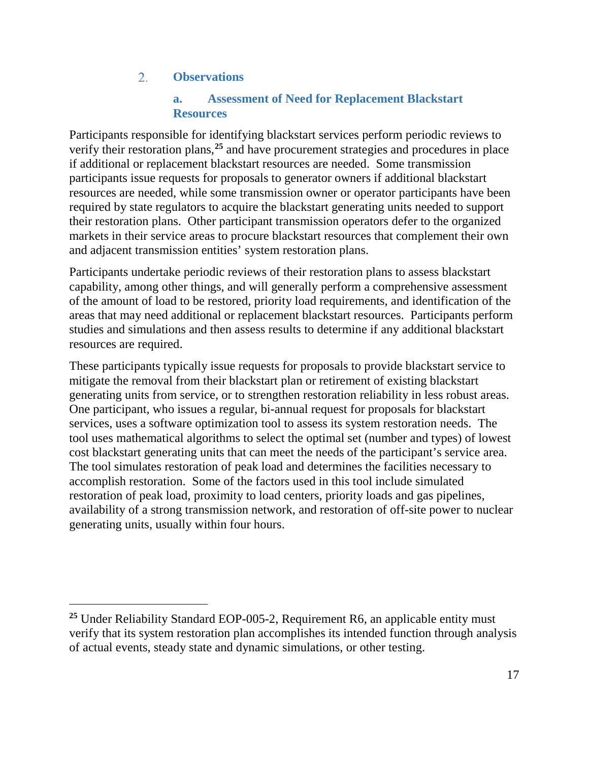#### $2.$ **Observations**

 $\overline{a}$ 

### **a. Assessment of Need for Replacement Blackstart Resources**

<span id="page-20-1"></span><span id="page-20-0"></span>Participants responsible for identifying blackstart services perform periodic reviews to verify their restoration plans, **[25](#page-20-2)** and have procurement strategies and procedures in place if additional or replacement blackstart resources are needed. Some transmission participants issue requests for proposals to generator owners if additional blackstart resources are needed, while some transmission owner or operator participants have been required by state regulators to acquire the blackstart generating units needed to support their restoration plans. Other participant transmission operators defer to the organized markets in their service areas to procure blackstart resources that complement their own and adjacent transmission entities' system restoration plans.

Participants undertake periodic reviews of their restoration plans to assess blackstart capability, among other things, and will generally perform a comprehensive assessment of the amount of load to be restored, priority load requirements, and identification of the areas that may need additional or replacement blackstart resources. Participants perform studies and simulations and then assess results to determine if any additional blackstart resources are required.

These participants typically issue requests for proposals to provide blackstart service to mitigate the removal from their blackstart plan or retirement of existing blackstart generating units from service, or to strengthen restoration reliability in less robust areas. One participant, who issues a regular, bi-annual request for proposals for blackstart services, uses a software optimization tool to assess its system restoration needs. The tool uses mathematical algorithms to select the optimal set (number and types) of lowest cost blackstart generating units that can meet the needs of the participant's service area. The tool simulates restoration of peak load and determines the facilities necessary to accomplish restoration. Some of the factors used in this tool include simulated restoration of peak load, proximity to load centers, priority loads and gas pipelines, availability of a strong transmission network, and restoration of off-site power to nuclear generating units, usually within four hours.

<span id="page-20-2"></span>**<sup>25</sup>** Under Reliability Standard EOP-005-2, Requirement R6, an applicable entity must verify that its system restoration plan accomplishes its intended function through analysis of actual events, steady state and dynamic simulations, or other testing.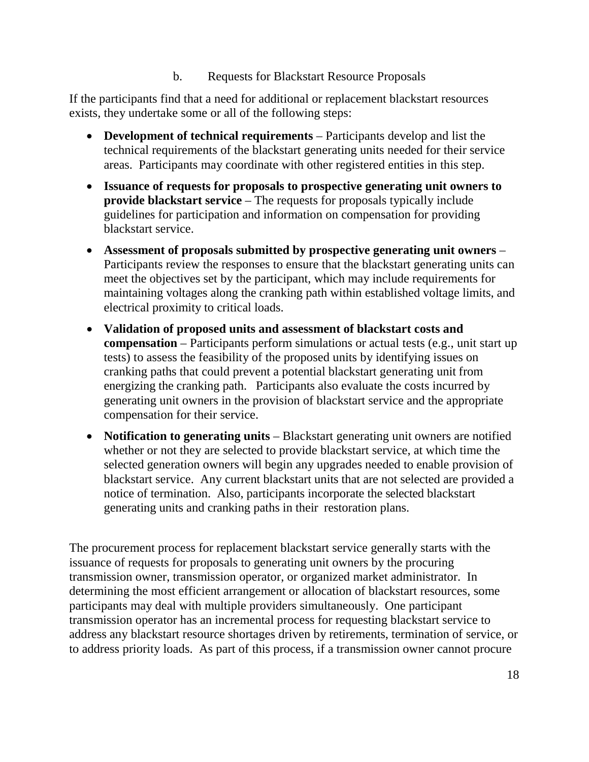b. Requests for Blackstart Resource Proposals

If the participants find that a need for additional or replacement blackstart resources exists, they undertake some or all of the following steps:

- **Development of technical requirements** Participants develop and list the technical requirements of the blackstart generating units needed for their service areas. Participants may coordinate with other registered entities in this step.
- **Issuance of requests for proposals to prospective generating unit owners to provide blackstart service** – The requests for proposals typically include guidelines for participation and information on compensation for providing blackstart service.
- **Assessment of proposals submitted by prospective generating unit owners** Participants review the responses to ensure that the blackstart generating units can meet the objectives set by the participant, which may include requirements for maintaining voltages along the cranking path within established voltage limits, and electrical proximity to critical loads.
- **Validation of proposed units and assessment of blackstart costs and compensation** – Participants perform simulations or actual tests (e.g., unit start up tests) to assess the feasibility of the proposed units by identifying issues on cranking paths that could prevent a potential blackstart generating unit from energizing the cranking path. Participants also evaluate the costs incurred by generating unit owners in the provision of blackstart service and the appropriate compensation for their service.
- **Notification to generating units** Blackstart generating unit owners are notified whether or not they are selected to provide blackstart service, at which time the selected generation owners will begin any upgrades needed to enable provision of blackstart service. Any current blackstart units that are not selected are provided a notice of termination. Also, participants incorporate the selected blackstart generating units and cranking paths in their restoration plans.

The procurement process for replacement blackstart service generally starts with the issuance of requests for proposals to generating unit owners by the procuring transmission owner, transmission operator, or organized market administrator. In determining the most efficient arrangement or allocation of blackstart resources, some participants may deal with multiple providers simultaneously. One participant transmission operator has an incremental process for requesting blackstart service to address any blackstart resource shortages driven by retirements, termination of service, or to address priority loads. As part of this process, if a transmission owner cannot procure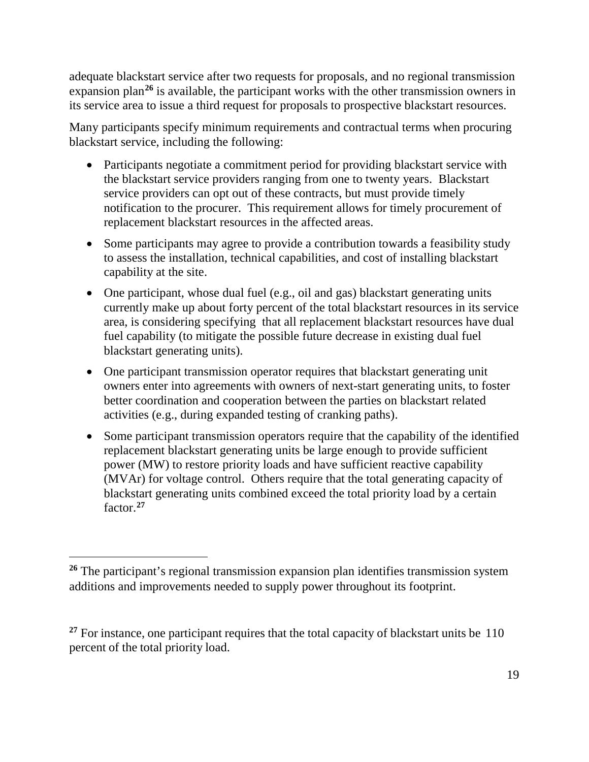adequate blackstart service after two requests for proposals, and no regional transmission expansion plan**[26](#page-22-0)** is available, the participant works with the other transmission owners in its service area to issue a third request for proposals to prospective blackstart resources.

Many participants specify minimum requirements and contractual terms when procuring blackstart service, including the following:

- Participants negotiate a commitment period for providing blackstart service with the blackstart service providers ranging from one to twenty years. Blackstart service providers can opt out of these contracts, but must provide timely notification to the procurer. This requirement allows for timely procurement of replacement blackstart resources in the affected areas.
- Some participants may agree to provide a contribution towards a feasibility study to assess the installation, technical capabilities, and cost of installing blackstart capability at the site.
- One participant, whose dual fuel (e.g., oil and gas) blackstart generating units currently make up about forty percent of the total blackstart resources in its service area, is considering specifying that all replacement blackstart resources have dual fuel capability (to mitigate the possible future decrease in existing dual fuel blackstart generating units).
- One participant transmission operator requires that blackstart generating unit owners enter into agreements with owners of next-start generating units, to foster better coordination and cooperation between the parties on blackstart related activities (e.g., during expanded testing of cranking paths).
- Some participant transmission operators require that the capability of the identified replacement blackstart generating units be large enough to provide sufficient power (MW) to restore priority loads and have sufficient reactive capability (MVAr) for voltage control. Others require that the total generating capacity of blackstart generating units combined exceed the total priority load by a certain factor. **[27](#page-22-1)**

<span id="page-22-0"></span>**<sup>26</sup>** The participant's regional transmission expansion plan identifies transmission system additions and improvements needed to supply power throughout its footprint.

<span id="page-22-1"></span><sup>&</sup>lt;sup>27</sup> For instance, one participant requires that the total capacity of blackstart units be 110 percent of the total priority load.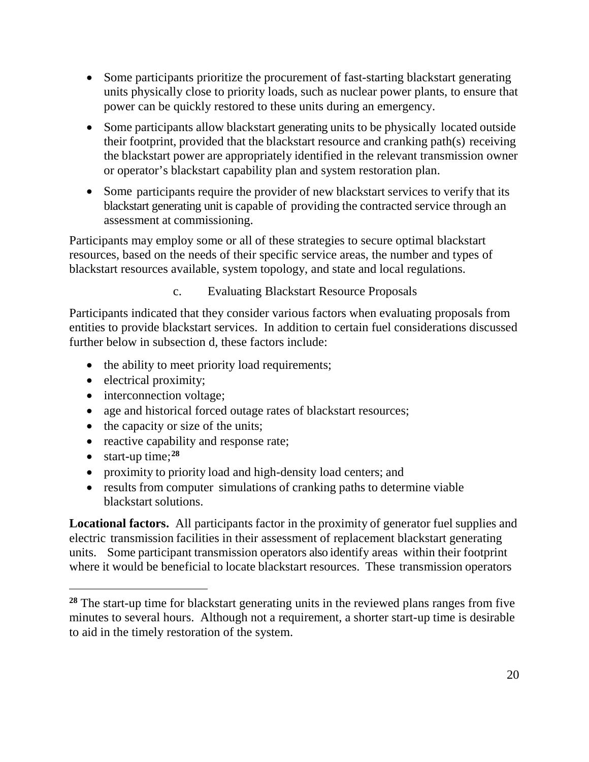- Some participants prioritize the procurement of fast-starting blackstart generating units physically close to priority loads, such as nuclear power plants, to ensure that power can be quickly restored to these units during an emergency.
- Some participants allow blackstart generating units to be physically located outside their footprint, provided that the blackstart resource and cranking path(s) receiving the blackstart power are appropriately identified in the relevant transmission owner or operator's blackstart capability plan and system restoration plan.
- Some participants require the provider of new blackstart services to verify that its blackstart generating unit is capable of providing the contracted service through an assessment at commissioning.

Participants may employ some or all of these strategies to secure optimal blackstart resources, based on the needs of their specific service areas, the number and types of blackstart resources available, system topology, and state and local regulations.

c. Evaluating Blackstart Resource Proposals

Participants indicated that they consider various factors when evaluating proposals from entities to provide blackstart services. In addition to certain fuel considerations discussed further below in subsection d, these factors include:

- the ability to meet priority load requirements;
- electrical proximity;
- interconnection voltage;
- age and historical forced outage rates of blackstart resources;
- the capacity or size of the units;
- reactive capability and response rate;
- start-up time;**[28](#page-23-0)**

 $\overline{a}$ 

- proximity to priority load and high-density load centers; and
- results from computer simulations of cranking paths to determine viable blackstart solutions.

**Locational factors.** All participants factor in the proximity of generator fuel supplies and electric transmission facilities in their assessment of replacement blackstart generating units. Some participant transmission operators also identify areas within their footprint where it would be beneficial to locate blackstart resources. These transmission operators

<span id="page-23-0"></span><sup>&</sup>lt;sup>28</sup> The start-up time for blackstart generating units in the reviewed plans ranges from five minutes to several hours. Although not a requirement, a shorter start-up time is desirable to aid in the timely restoration of the system.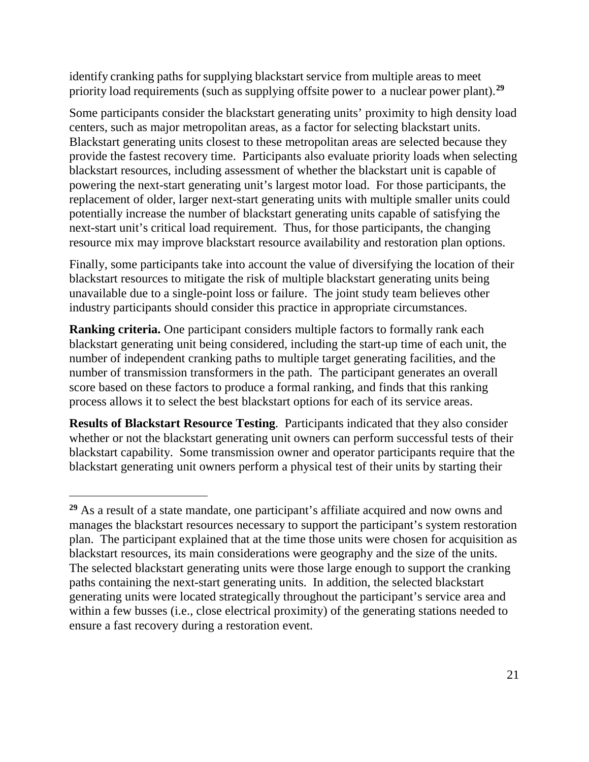identify cranking paths for supplying blackstart service from multiple areas to meet priority load requirements (such as supplying offsite power to a nuclear power plant). **[29](#page-24-0)**

Some participants consider the blackstart generating units' proximity to high density load centers, such as major metropolitan areas, as a factor for selecting blackstart units. Blackstart generating units closest to these metropolitan areas are selected because they provide the fastest recovery time. Participants also evaluate priority loads when selecting blackstart resources, including assessment of whether the blackstart unit is capable of powering the next-start generating unit's largest motor load. For those participants, the replacement of older, larger next-start generating units with multiple smaller units could potentially increase the number of blackstart generating units capable of satisfying the next-start unit's critical load requirement. Thus, for those participants, the changing resource mix may improve blackstart resource availability and restoration plan options.

Finally, some participants take into account the value of diversifying the location of their blackstart resources to mitigate the risk of multiple blackstart generating units being unavailable due to a single-point loss or failure. The joint study team believes other industry participants should consider this practice in appropriate circumstances.

**Ranking criteria.** One participant considers multiple factors to formally rank each blackstart generating unit being considered, including the start-up time of each unit, the number of independent cranking paths to multiple target generating facilities, and the number of transmission transformers in the path. The participant generates an overall score based on these factors to produce a formal ranking, and finds that this ranking process allows it to select the best blackstart options for each of its service areas.

**Results of Blackstart Resource Testing**. Participants indicated that they also consider whether or not the blackstart generating unit owners can perform successful tests of their blackstart capability. Some transmission owner and operator participants require that the blackstart generating unit owners perform a physical test of their units by starting their

<span id="page-24-0"></span>**<sup>29</sup>** As a result of a state mandate, one participant's affiliate acquired and now owns and manages the blackstart resources necessary to support the participant's system restoration plan. The participant explained that at the time those units were chosen for acquisition as blackstart resources, its main considerations were geography and the size of the units. The selected blackstart generating units were those large enough to support the cranking paths containing the next-start generating units. In addition, the selected blackstart generating units were located strategically throughout the participant's service area and within a few busses (i.e., close electrical proximity) of the generating stations needed to ensure a fast recovery during a restoration event.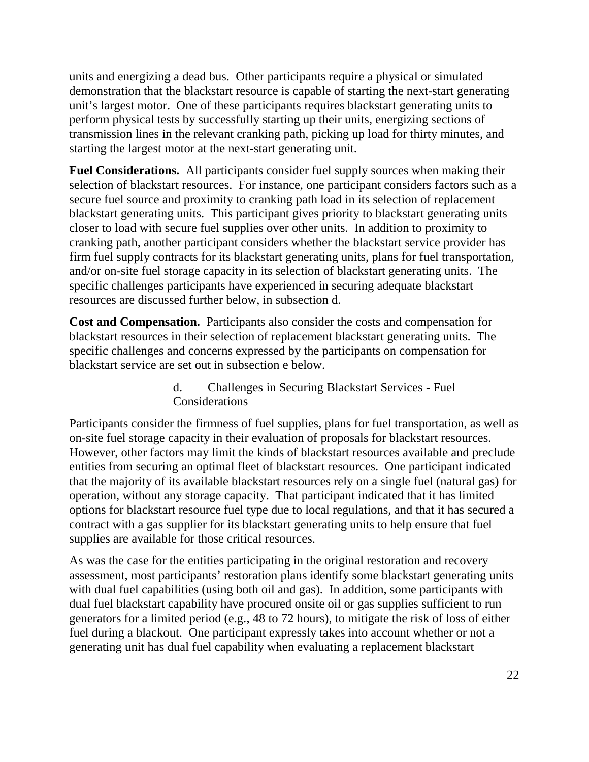units and energizing a dead bus. Other participants require a physical or simulated demonstration that the blackstart resource is capable of starting the next-start generating unit's largest motor. One of these participants requires blackstart generating units to perform physical tests by successfully starting up their units, energizing sections of transmission lines in the relevant cranking path, picking up load for thirty minutes, and starting the largest motor at the next-start generating unit.

**Fuel Considerations.** All participants consider fuel supply sources when making their selection of blackstart resources. For instance, one participant considers factors such as a secure fuel source and proximity to cranking path load in its selection of replacement blackstart generating units. This participant gives priority to blackstart generating units closer to load with secure fuel supplies over other units. In addition to proximity to cranking path, another participant considers whether the blackstart service provider has firm fuel supply contracts for its blackstart generating units, plans for fuel transportation, and/or on-site fuel storage capacity in its selection of blackstart generating units. The specific challenges participants have experienced in securing adequate blackstart resources are discussed further below, in subsection d.

**Cost and Compensation.** Participants also consider the costs and compensation for blackstart resources in their selection of replacement blackstart generating units. The specific challenges and concerns expressed by the participants on compensation for blackstart service are set out in subsection e below.

> d. Challenges in Securing Blackstart Services - Fuel **Considerations**

Participants consider the firmness of fuel supplies, plans for fuel transportation, as well as on-site fuel storage capacity in their evaluation of proposals for blackstart resources. However, other factors may limit the kinds of blackstart resources available and preclude entities from securing an optimal fleet of blackstart resources. One participant indicated that the majority of its available blackstart resources rely on a single fuel (natural gas) for operation, without any storage capacity. That participant indicated that it has limited options for blackstart resource fuel type due to local regulations, and that it has secured a contract with a gas supplier for its blackstart generating units to help ensure that fuel supplies are available for those critical resources.

As was the case for the entities participating in the original restoration and recovery assessment, most participants' restoration plans identify some blackstart generating units with dual fuel capabilities (using both oil and gas). In addition, some participants with dual fuel blackstart capability have procured onsite oil or gas supplies sufficient to run generators for a limited period (e.g., 48 to 72 hours), to mitigate the risk of loss of either fuel during a blackout. One participant expressly takes into account whether or not a generating unit has dual fuel capability when evaluating a replacement blackstart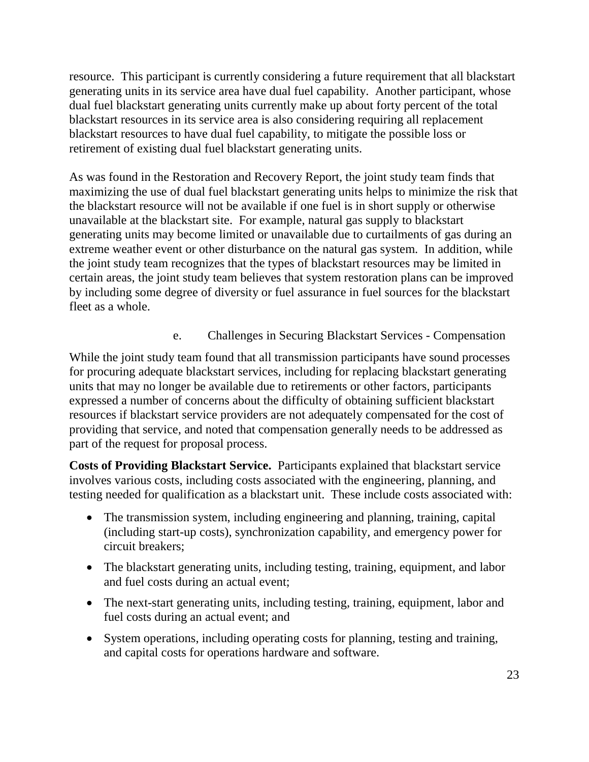resource. This participant is currently considering a future requirement that all blackstart generating units in its service area have dual fuel capability. Another participant, whose dual fuel blackstart generating units currently make up about forty percent of the total blackstart resources in its service area is also considering requiring all replacement blackstart resources to have dual fuel capability, to mitigate the possible loss or retirement of existing dual fuel blackstart generating units.

As was found in the Restoration and Recovery Report, the joint study team finds that maximizing the use of dual fuel blackstart generating units helps to minimize the risk that the blackstart resource will not be available if one fuel is in short supply or otherwise unavailable at the blackstart site. For example, natural gas supply to blackstart generating units may become limited or unavailable due to curtailments of gas during an extreme weather event or other disturbance on the natural gas system. In addition, while the joint study team recognizes that the types of blackstart resources may be limited in certain areas, the joint study team believes that system restoration plans can be improved by including some degree of diversity or fuel assurance in fuel sources for the blackstart fleet as a whole.

e. Challenges in Securing Blackstart Services - Compensation

While the joint study team found that all transmission participants have sound processes for procuring adequate blackstart services, including for replacing blackstart generating units that may no longer be available due to retirements or other factors, participants expressed a number of concerns about the difficulty of obtaining sufficient blackstart resources if blackstart service providers are not adequately compensated for the cost of providing that service, and noted that compensation generally needs to be addressed as part of the request for proposal process.

**Costs of Providing Blackstart Service.** Participants explained that blackstart service involves various costs, including costs associated with the engineering, planning, and testing needed for qualification as a blackstart unit. These include costs associated with:

- The transmission system, including engineering and planning, training, capital (including start-up costs), synchronization capability, and emergency power for circuit breakers;
- The blackstart generating units, including testing, training, equipment, and labor and fuel costs during an actual event;
- The next-start generating units, including testing, training, equipment, labor and fuel costs during an actual event; and
- System operations, including operating costs for planning, testing and training, and capital costs for operations hardware and software.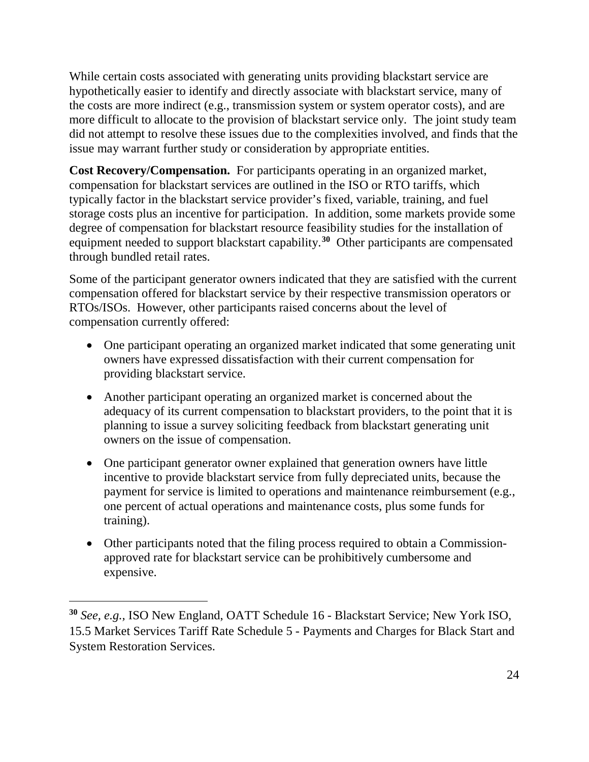While certain costs associated with generating units providing blackstart service are hypothetically easier to identify and directly associate with blackstart service, many of the costs are more indirect (e.g., transmission system or system operator costs), and are more difficult to allocate to the provision of blackstart service only. The joint study team did not attempt to resolve these issues due to the complexities involved, and finds that the issue may warrant further study or consideration by appropriate entities.

**Cost Recovery/Compensation.** For participants operating in an organized market, compensation for blackstart services are outlined in the ISO or RTO tariffs, which typically factor in the blackstart service provider's fixed, variable, training, and fuel storage costs plus an incentive for participation. In addition, some markets provide some degree of compensation for blackstart resource feasibility studies for the installation of equipment needed to support blackstart capability.**[30](#page-27-0)** Other participants are compensated through bundled retail rates.

Some of the participant generator owners indicated that they are satisfied with the current compensation offered for blackstart service by their respective transmission operators or RTOs/ISOs. However, other participants raised concerns about the level of compensation currently offered:

- One participant operating an organized market indicated that some generating unit owners have expressed dissatisfaction with their current compensation for providing blackstart service.
- Another participant operating an organized market is concerned about the adequacy of its current compensation to blackstart providers, to the point that it is planning to issue a survey soliciting feedback from blackstart generating unit owners on the issue of compensation.
- One participant generator owner explained that generation owners have little incentive to provide blackstart service from fully depreciated units, because the payment for service is limited to operations and maintenance reimbursement (e.g., one percent of actual operations and maintenance costs, plus some funds for training).
- Other participants noted that the filing process required to obtain a Commissionapproved rate for blackstart service can be prohibitively cumbersome and expensive.

<span id="page-27-0"></span>**<sup>30</sup>** *See, e.g.,* ISO New England, OATT Schedule 16 - Blackstart Service; New York ISO, 15.5 Market Services Tariff Rate Schedule 5 - Payments and Charges for Black Start and System Restoration Services.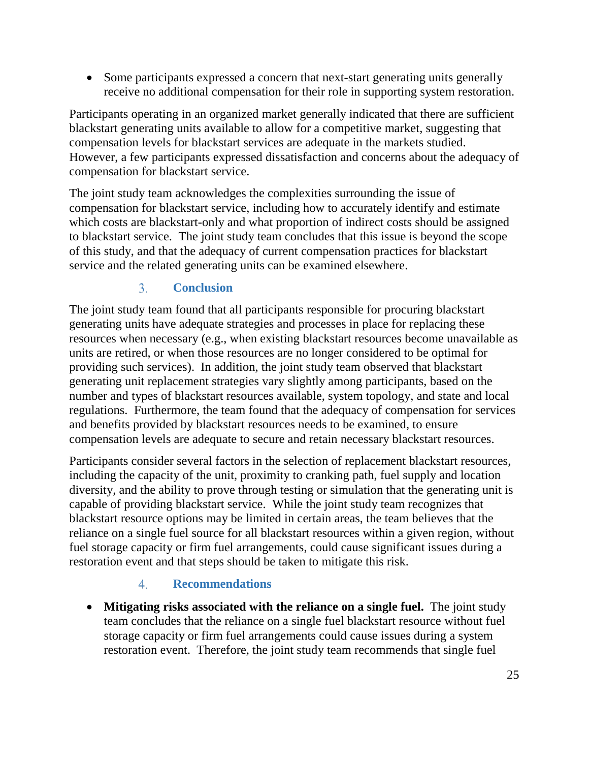• Some participants expressed a concern that next-start generating units generally receive no additional compensation for their role in supporting system restoration.

Participants operating in an organized market generally indicated that there are sufficient blackstart generating units available to allow for a competitive market, suggesting that compensation levels for blackstart services are adequate in the markets studied. However, a few participants expressed dissatisfaction and concerns about the adequacy of compensation for blackstart service.

The joint study team acknowledges the complexities surrounding the issue of compensation for blackstart service, including how to accurately identify and estimate which costs are blackstart-only and what proportion of indirect costs should be assigned to blackstart service. The joint study team concludes that this issue is beyond the scope of this study, and that the adequacy of current compensation practices for blackstart service and the related generating units can be examined elsewhere.

#### $\overline{3}$ . **Conclusion**

<span id="page-28-0"></span>The joint study team found that all participants responsible for procuring blackstart generating units have adequate strategies and processes in place for replacing these resources when necessary (e.g., when existing blackstart resources become unavailable as units are retired, or when those resources are no longer considered to be optimal for providing such services). In addition, the joint study team observed that blackstart generating unit replacement strategies vary slightly among participants, based on the number and types of blackstart resources available, system topology, and state and local regulations. Furthermore, the team found that the adequacy of compensation for services and benefits provided by blackstart resources needs to be examined, to ensure compensation levels are adequate to secure and retain necessary blackstart resources.

Participants consider several factors in the selection of replacement blackstart resources, including the capacity of the unit, proximity to cranking path, fuel supply and location diversity, and the ability to prove through testing or simulation that the generating unit is capable of providing blackstart service. While the joint study team recognizes that blackstart resource options may be limited in certain areas, the team believes that the reliance on a single fuel source for all blackstart resources within a given region, without fuel storage capacity or firm fuel arrangements, could cause significant issues during a restoration event and that steps should be taken to mitigate this risk.

#### $4<sup>1</sup>$ **Recommendations**

<span id="page-28-1"></span>• **Mitigating risks associated with the reliance on a single fuel.** The joint study team concludes that the reliance on a single fuel blackstart resource without fuel storage capacity or firm fuel arrangements could cause issues during a system restoration event. Therefore, the joint study team recommends that single fuel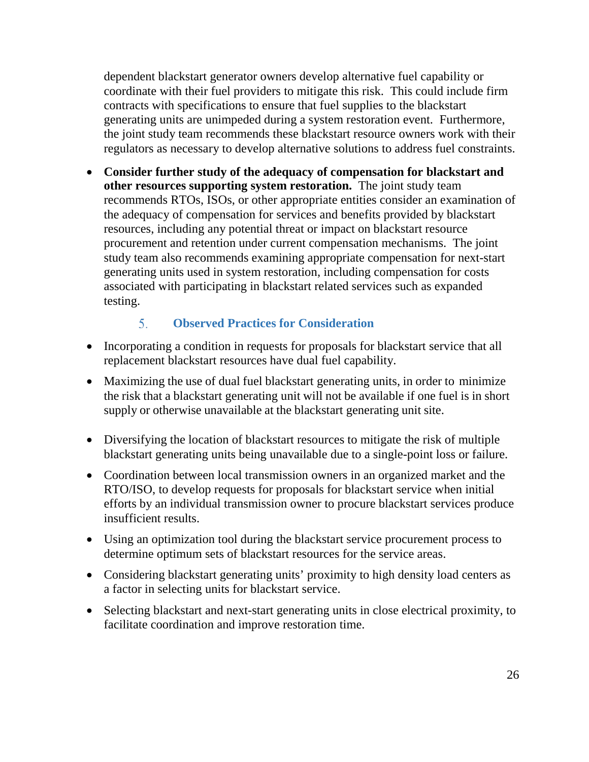dependent blackstart generator owners develop alternative fuel capability or coordinate with their fuel providers to mitigate this risk. This could include firm contracts with specifications to ensure that fuel supplies to the blackstart generating units are unimpeded during a system restoration event. Furthermore, the joint study team recommends these blackstart resource owners work with their regulators as necessary to develop alternative solutions to address fuel constraints.

• **Consider further study of the adequacy of compensation for blackstart and other resources supporting system restoration.** The joint study team recommends RTOs, ISOs, or other appropriate entities consider an examination of the adequacy of compensation for services and benefits provided by blackstart resources, including any potential threat or impact on blackstart resource procurement and retention under current compensation mechanisms. The joint study team also recommends examining appropriate compensation for next-start generating units used in system restoration, including compensation for costs associated with participating in blackstart related services such as expanded testing.

#### $5<sub>1</sub>$ **Observed Practices for Consideration**

- <span id="page-29-0"></span>• Incorporating a condition in requests for proposals for blackstart service that all replacement blackstart resources have dual fuel capability.
- Maximizing the use of dual fuel blackstart generating units, in order to minimize the risk that a blackstart generating unit will not be available if one fuel is in short supply or otherwise unavailable at the blackstart generating unit site.
- Diversifying the location of blackstart resources to mitigate the risk of multiple blackstart generating units being unavailable due to a single-point loss or failure.
- Coordination between local transmission owners in an organized market and the RTO/ISO, to develop requests for proposals for blackstart service when initial efforts by an individual transmission owner to procure blackstart services produce insufficient results.
- Using an optimization tool during the blackstart service procurement process to determine optimum sets of blackstart resources for the service areas.
- Considering blackstart generating units' proximity to high density load centers as a factor in selecting units for blackstart service.
- Selecting blackstart and next-start generating units in close electrical proximity, to facilitate coordination and improve restoration time.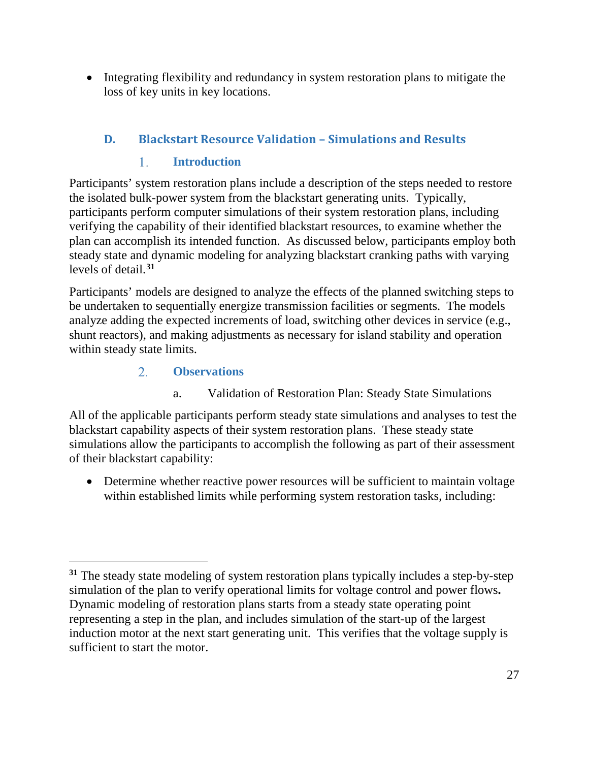• Integrating flexibility and redundancy in system restoration plans to mitigate the loss of key units in key locations.

### <span id="page-30-0"></span>**D. Blackstart Resource Validation – Simulations and Results**

#### $1_{-}$ **Introduction**

<span id="page-30-1"></span>Participants' system restoration plans include a description of the steps needed to restore the isolated bulk-power system from the blackstart generating units. Typically, participants perform computer simulations of their system restoration plans, including verifying the capability of their identified blackstart resources, to examine whether the plan can accomplish its intended function. As discussed below, participants employ both steady state and dynamic modeling for analyzing blackstart cranking paths with varying levels of detail. **[31](#page-30-3)**

Participants' models are designed to analyze the effects of the planned switching steps to be undertaken to sequentially energize transmission facilities or segments. The models analyze adding the expected increments of load, switching other devices in service (e.g., shunt reactors), and making adjustments as necessary for island stability and operation within steady state limits.

#### $2.$ **Observations**

 $\overline{a}$ 

a. Validation of Restoration Plan: Steady State Simulations

<span id="page-30-2"></span>All of the applicable participants perform steady state simulations and analyses to test the blackstart capability aspects of their system restoration plans. These steady state simulations allow the participants to accomplish the following as part of their assessment of their blackstart capability:

• Determine whether reactive power resources will be sufficient to maintain voltage within established limits while performing system restoration tasks, including:

<span id="page-30-3"></span>**<sup>31</sup>** The steady state modeling of system restoration plans typically includes a step-by-step simulation of the plan to verify operational limits for voltage control and power flows**.**  Dynamic modeling of restoration plans starts from a steady state operating point representing a step in the plan, and includes simulation of the start-up of the largest induction motor at the next start generating unit. This verifies that the voltage supply is sufficient to start the motor.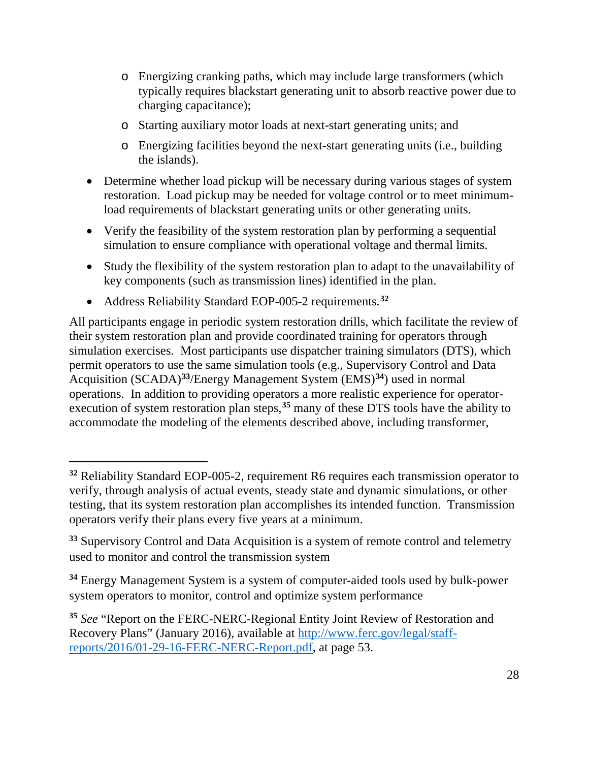- o Energizing cranking paths, which may include large transformers (which typically requires blackstart generating unit to absorb reactive power due to charging capacitance);
- o Starting auxiliary motor loads at next-start generating units; and
- o Energizing facilities beyond the next-start generating units (i.e., building the islands).
- Determine whether load pickup will be necessary during various stages of system restoration. Load pickup may be needed for voltage control or to meet minimumload requirements of blackstart generating units or other generating units.
- Verify the feasibility of the system restoration plan by performing a sequential simulation to ensure compliance with operational voltage and thermal limits.
- Study the flexibility of the system restoration plan to adapt to the unavailability of key components (such as transmission lines) identified in the plan.
- Address Reliability Standard EOP-005-2 requirements. **[32](#page-31-0)**

 $\overline{a}$ 

All participants engage in periodic system restoration drills, which facilitate the review of their system restoration plan and provide coordinated training for operators through simulation exercises. Most participants use dispatcher training simulators (DTS), which permit operators to use the same simulation tools (e.g., Supervisory Control and Data Acquisition (SCADA)**[33](#page-31-1)**/Energy Management System (EMS)**[34](#page-31-2)**) used in normal operations. In addition to providing operators a more realistic experience for operatorexecution of system restoration plan steps, **[35](#page-31-3)** many of these DTS tools have the ability to accommodate the modeling of the elements described above, including transformer,

<span id="page-31-0"></span>**<sup>32</sup>** Reliability Standard EOP-005-2, requirement R6 requires each transmission operator to verify, through analysis of actual events, steady state and dynamic simulations, or other testing, that its system restoration plan accomplishes its intended function. Transmission operators verify their plans every five years at a minimum.

<span id="page-31-1"></span>**<sup>33</sup>** Supervisory Control and Data Acquisition is a system of remote control and telemetry used to monitor and control the transmission system

<span id="page-31-2"></span>**<sup>34</sup>** Energy Management System is a system of computer-aided tools used by bulk-power system operators to monitor, control and optimize system performance

<span id="page-31-3"></span>**<sup>35</sup>** *See* "Report on the FERC-NERC-Regional Entity Joint Review of Restoration and Recovery Plans" (January 2016), available at [http://www.ferc.gov/legal/staff](http://www.ferc.gov/legal/staff-reports/2016/01-29-16-FERC-NERC-Report.pdf)[reports/2016/01-29-16-FERC-NERC-Report.pdf,](http://www.ferc.gov/legal/staff-reports/2016/01-29-16-FERC-NERC-Report.pdf) at page 53.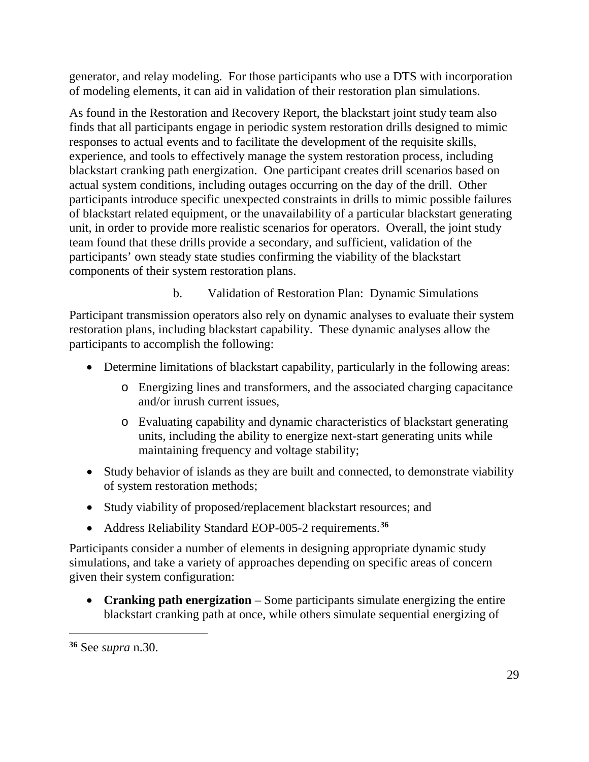generator, and relay modeling. For those participants who use a DTS with incorporation of modeling elements, it can aid in validation of their restoration plan simulations.

As found in the Restoration and Recovery Report, the blackstart joint study team also finds that all participants engage in periodic system restoration drills designed to mimic responses to actual events and to facilitate the development of the requisite skills, experience, and tools to effectively manage the system restoration process, including blackstart cranking path energization. One participant creates drill scenarios based on actual system conditions, including outages occurring on the day of the drill. Other participants introduce specific unexpected constraints in drills to mimic possible failures of blackstart related equipment, or the unavailability of a particular blackstart generating unit, in order to provide more realistic scenarios for operators. Overall, the joint study team found that these drills provide a secondary, and sufficient, validation of the participants' own steady state studies confirming the viability of the blackstart components of their system restoration plans.

b. Validation of Restoration Plan: Dynamic Simulations

Participant transmission operators also rely on dynamic analyses to evaluate their system restoration plans, including blackstart capability. These dynamic analyses allow the participants to accomplish the following:

- Determine limitations of blackstart capability, particularly in the following areas:
	- o Energizing lines and transformers, and the associated charging capacitance and/or inrush current issues,
	- o Evaluating capability and dynamic characteristics of blackstart generating units, including the ability to energize next-start generating units while maintaining frequency and voltage stability;
- Study behavior of islands as they are built and connected, to demonstrate viability of system restoration methods;
- Study viability of proposed/replacement blackstart resources; and
- Address Reliability Standard EOP-005-2 requirements. **[36](#page-32-0)**

Participants consider a number of elements in designing appropriate dynamic study simulations, and take a variety of approaches depending on specific areas of concern given their system configuration:

• **Cranking path energization** – Some participants simulate energizing the entire blackstart cranking path at once, while others simulate sequential energizing of

<span id="page-32-0"></span>**<sup>36</sup>** See *supra* n.30.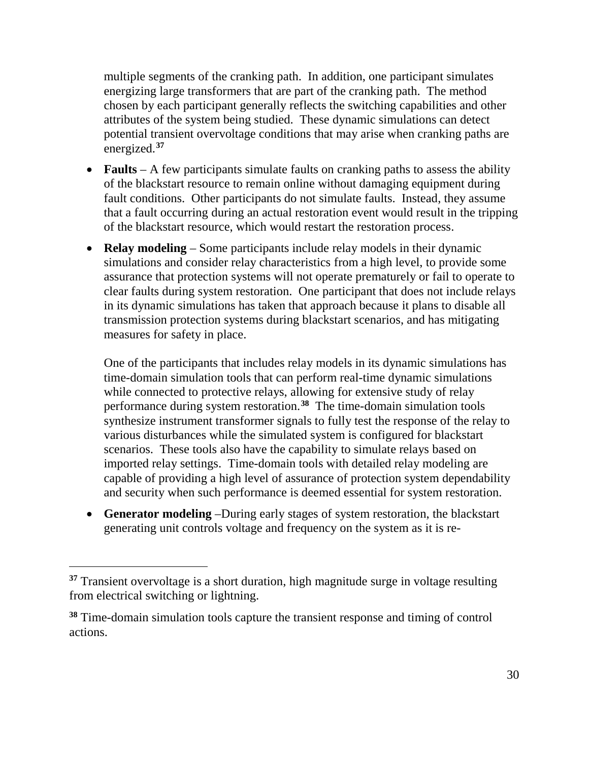multiple segments of the cranking path. In addition, one participant simulates energizing large transformers that are part of the cranking path. The method chosen by each participant generally reflects the switching capabilities and other attributes of the system being studied. These dynamic simulations can detect potential transient overvoltage conditions that may arise when cranking paths are energized. **[37](#page-33-0)**

- **Faults** A few participants simulate faults on cranking paths to assess the ability of the blackstart resource to remain online without damaging equipment during fault conditions. Other participants do not simulate faults. Instead, they assume that a fault occurring during an actual restoration event would result in the tripping of the blackstart resource, which would restart the restoration process.
- **Relay modeling** Some participants include relay models in their dynamic simulations and consider relay characteristics from a high level, to provide some assurance that protection systems will not operate prematurely or fail to operate to clear faults during system restoration. One participant that does not include relays in its dynamic simulations has taken that approach because it plans to disable all transmission protection systems during blackstart scenarios, and has mitigating measures for safety in place.

One of the participants that includes relay models in its dynamic simulations has time-domain simulation tools that can perform real-time dynamic simulations while connected to protective relays, allowing for extensive study of relay performance during system restoration.**[38](#page-33-1)** The time-domain simulation tools synthesize instrument transformer signals to fully test the response of the relay to various disturbances while the simulated system is configured for blackstart scenarios. These tools also have the capability to simulate relays based on imported relay settings. Time-domain tools with detailed relay modeling are capable of providing a high level of assurance of protection system dependability and security when such performance is deemed essential for system restoration.

• **Generator modeling** –During early stages of system restoration, the blackstart generating unit controls voltage and frequency on the system as it is re-

<span id="page-33-0"></span>**<sup>37</sup>** Transient overvoltage is a short duration, high magnitude surge in voltage resulting from electrical switching or lightning.

<span id="page-33-1"></span>**<sup>38</sup>** Time-domain simulation tools capture the transient response and timing of control actions.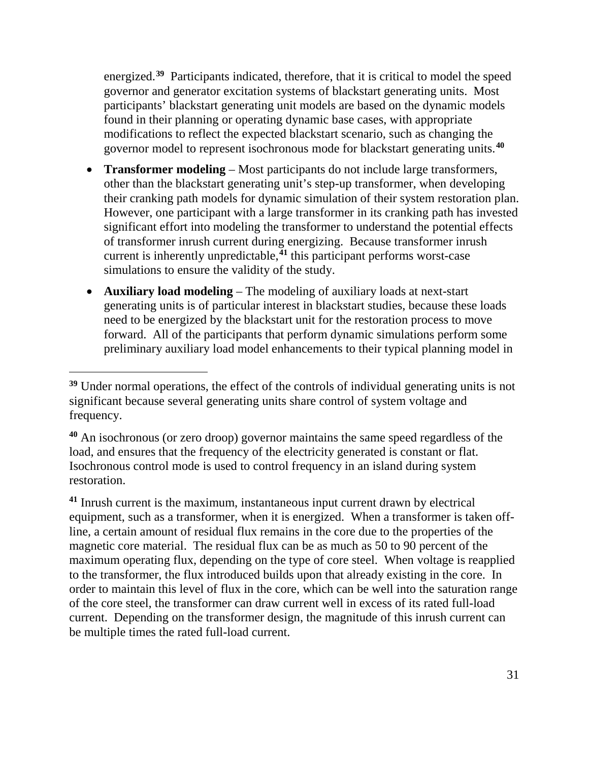energized.<sup>[39](#page-34-0)</sup> Participants indicated, therefore, that it is critical to model the speed governor and generator excitation systems of blackstart generating units. Most participants' blackstart generating unit models are based on the dynamic models found in their planning or operating dynamic base cases, with appropriate modifications to reflect the expected blackstart scenario, such as changing the governor model to represent isochronous mode for blackstart generating units.**[40](#page-34-1)**

- **Transformer modeling** Most participants do not include large transformers, other than the blackstart generating unit's step-up transformer, when developing their cranking path models for dynamic simulation of their system restoration plan. However, one participant with a large transformer in its cranking path has invested significant effort into modeling the transformer to understand the potential effects of transformer inrush current during energizing. Because transformer inrush current is inherently unpredictable, **[41](#page-34-2)** this participant performs worst-case simulations to ensure the validity of the study.
- **Auxiliary load modeling** The modeling of auxiliary loads at next-start generating units is of particular interest in blackstart studies, because these loads need to be energized by the blackstart unit for the restoration process to move forward. All of the participants that perform dynamic simulations perform some preliminary auxiliary load model enhancements to their typical planning model in

 $\overline{a}$ 

<span id="page-34-2"></span>**<sup>41</sup>** Inrush current is the maximum, instantaneous input current drawn by electrical equipment, such as a transformer, when it is energized. When a transformer is taken offline, a certain amount of residual flux remains in the core due to the properties of the magnetic core material. The residual flux can be as much as 50 to 90 percent of the maximum operating flux, depending on the type of core steel. When voltage is reapplied to the transformer, the flux introduced builds upon that already existing in the core. In order to maintain this level of flux in the core, which can be well into the saturation range of the core steel, the transformer can draw current well in excess of its rated full-load current. Depending on the transformer design, the magnitude of this inrush current can be multiple times the rated full-load current.

<span id="page-34-0"></span>**<sup>39</sup>** Under normal operations, the effect of the controls of individual generating units is not significant because several generating units share control of system voltage and frequency.

<span id="page-34-1"></span>**<sup>40</sup>** An isochronous (or zero droop) governor maintains the same speed regardless of the load, and ensures that the frequency of the electricity generated is constant or flat. Isochronous control mode is used to control frequency in an island during system restoration.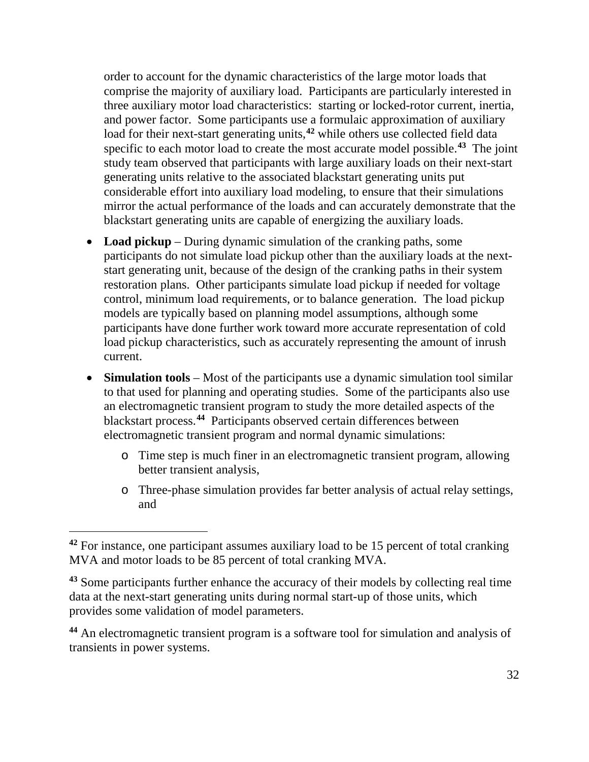order to account for the dynamic characteristics of the large motor loads that comprise the majority of auxiliary load. Participants are particularly interested in three auxiliary motor load characteristics: starting or locked-rotor current, inertia, and power factor. Some participants use a formulaic approximation of auxiliary load for their next-start generating units, **[42](#page-35-0)** while others use collected field data specific to each motor load to create the most accurate model possible.**[43](#page-35-1)** The joint study team observed that participants with large auxiliary loads on their next-start generating units relative to the associated blackstart generating units put considerable effort into auxiliary load modeling, to ensure that their simulations mirror the actual performance of the loads and can accurately demonstrate that the blackstart generating units are capable of energizing the auxiliary loads.

- **Load pickup** During dynamic simulation of the cranking paths, some participants do not simulate load pickup other than the auxiliary loads at the nextstart generating unit, because of the design of the cranking paths in their system restoration plans. Other participants simulate load pickup if needed for voltage control, minimum load requirements, or to balance generation. The load pickup models are typically based on planning model assumptions, although some participants have done further work toward more accurate representation of cold load pickup characteristics, such as accurately representing the amount of inrush current.
- **Simulation tools** Most of the participants use a dynamic simulation tool similar to that used for planning and operating studies. Some of the participants also use an electromagnetic transient program to study the more detailed aspects of the blackstart process.**[44](#page-35-2)** Participants observed certain differences between electromagnetic transient program and normal dynamic simulations:
	- o Time step is much finer in an electromagnetic transient program, allowing better transient analysis,
	- o Three-phase simulation provides far better analysis of actual relay settings, and

<span id="page-35-0"></span>**<sup>42</sup>** For instance, one participant assumes auxiliary load to be 15 percent of total cranking MVA and motor loads to be 85 percent of total cranking MVA.

<span id="page-35-1"></span>**<sup>43</sup>** Some participants further enhance the accuracy of their models by collecting real time data at the next-start generating units during normal start-up of those units, which provides some validation of model parameters.

<span id="page-35-2"></span>**<sup>44</sup>** An electromagnetic transient program is a software tool for simulation and analysis of transients in power systems.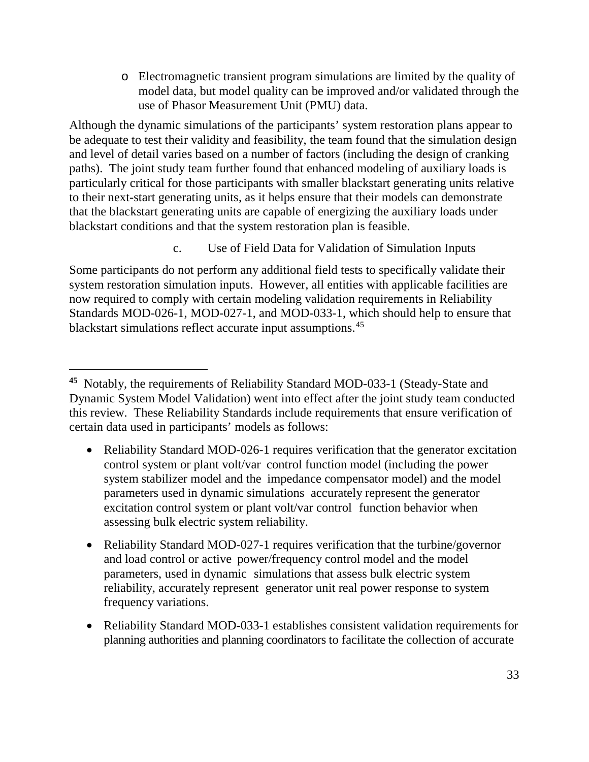o Electromagnetic transient program simulations are limited by the quality of model data, but model quality can be improved and/or validated through the use of Phasor Measurement Unit (PMU) data.

Although the dynamic simulations of the participants' system restoration plans appear to be adequate to test their validity and feasibility, the team found that the simulation design and level of detail varies based on a number of factors (including the design of cranking paths). The joint study team further found that enhanced modeling of auxiliary loads is particularly critical for those participants with smaller blackstart generating units relative to their next-start generating units, as it helps ensure that their models can demonstrate that the blackstart generating units are capable of energizing the auxiliary loads under blackstart conditions and that the system restoration plan is feasible.

c. Use of Field Data for Validation of Simulation Inputs

Some participants do not perform any additional field tests to specifically validate their system restoration simulation inputs. However, all entities with applicable facilities are now required to comply with certain modeling validation requirements in Reliability Standards MOD-026-1, MOD-027-1, and MOD-033-1, which should help to ensure that blackstart simulations reflect accurate input assumptions.[45](#page-36-0) 

- Reliability Standard MOD-026-1 requires verification that the generator excitation control system or plant volt/var control function model (including the power system stabilizer model and the impedance compensator model) and the model parameters used in dynamic simulations accurately represent the generator excitation control system or plant volt/var control function behavior when assessing bulk electric system reliability.
- Reliability Standard MOD-027-1 requires verification that the turbine/governor and load control or active power/frequency control model and the model parameters, used in dynamic simulations that assess bulk electric system reliability, accurately represent generator unit real power response to system frequency variations.
- Reliability Standard MOD-033-1 establishes consistent validation requirements for planning authorities and planning coordinators to facilitate the collection of accurate

<span id="page-36-0"></span>**<sup>45</sup>** Notably, the requirements of Reliability Standard MOD-033-1 (Steady-State and Dynamic System Model Validation) went into effect after the joint study team conducted this review. These Reliability Standards include requirements that ensure verification of certain data used in participants' models as follows: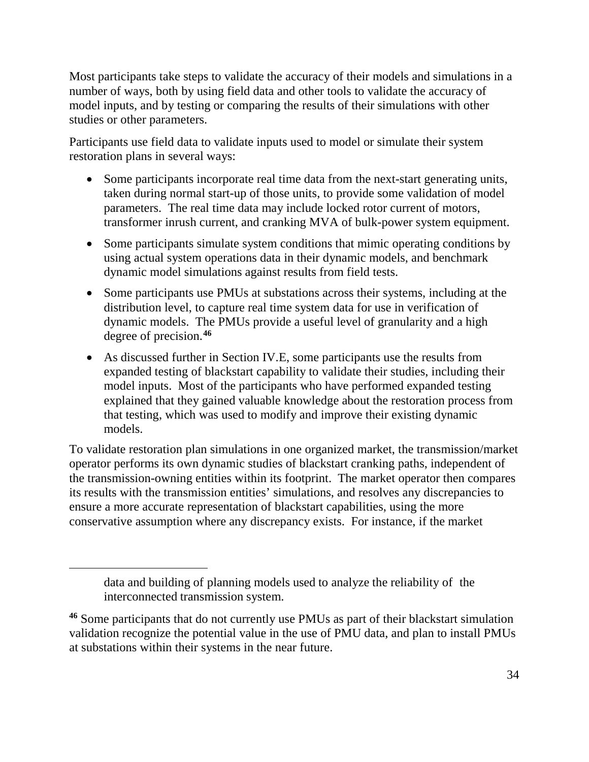Most participants take steps to validate the accuracy of their models and simulations in a number of ways, both by using field data and other tools to validate the accuracy of model inputs, and by testing or comparing the results of their simulations with other studies or other parameters.

Participants use field data to validate inputs used to model or simulate their system restoration plans in several ways:

- Some participants incorporate real time data from the next-start generating units, taken during normal start-up of those units, to provide some validation of model parameters. The real time data may include locked rotor current of motors, transformer inrush current, and cranking MVA of bulk-power system equipment.
- Some participants simulate system conditions that mimic operating conditions by using actual system operations data in their dynamic models, and benchmark dynamic model simulations against results from field tests.
- Some participants use PMUs at substations across their systems, including at the distribution level, to capture real time system data for use in verification of dynamic models. The PMUs provide a useful level of granularity and a high degree of precision. **[46](#page-37-0)**
- As discussed further in Section IV.E, some participants use the results from expanded testing of blackstart capability to validate their studies, including their model inputs. Most of the participants who have performed expanded testing explained that they gained valuable knowledge about the restoration process from that testing, which was used to modify and improve their existing dynamic models.

To validate restoration plan simulations in one organized market, the transmission/market operator performs its own dynamic studies of blackstart cranking paths, independent of the transmission-owning entities within its footprint. The market operator then compares its results with the transmission entities' simulations, and resolves any discrepancies to ensure a more accurate representation of blackstart capabilities, using the more conservative assumption where any discrepancy exists. For instance, if the market

data and building of planning models used to analyze the reliability of the interconnected transmission system.

<span id="page-37-0"></span>**<sup>46</sup>** Some participants that do not currently use PMUs as part of their blackstart simulation validation recognize the potential value in the use of PMU data, and plan to install PMUs at substations within their systems in the near future.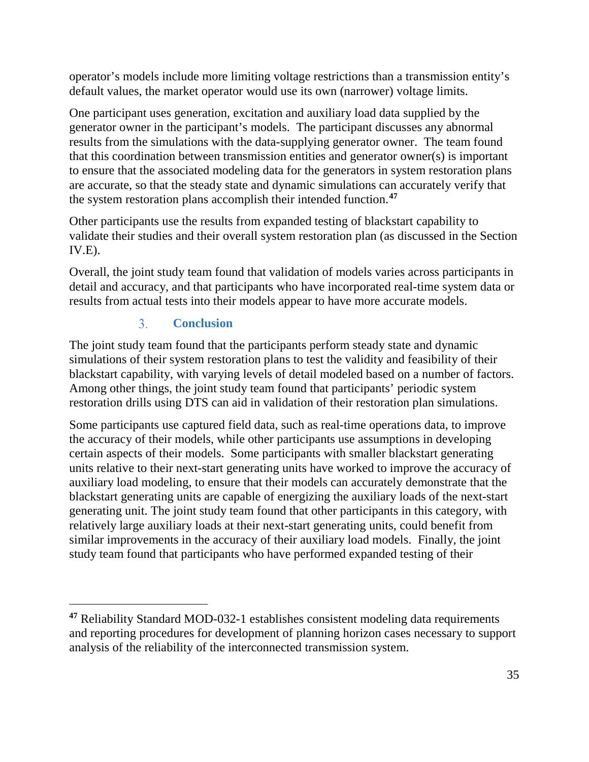operator's models include more limiting voltage restrictions than a transmission entity's default values, the market operator would use its own (narrower) voltage limits.

One participant uses generation, excitation and auxiliary load data supplied by the generator owner in the participant's models. The participant discusses any abnormal results from the simulations with the data-supplying generator owner. The team found that this coordination between transmission entities and generator owner(s) is important to ensure that the associated modeling data for the generators in system restoration plans are accurate, so that the steady state and dynamic simulations can accurately verify that the system restoration plans accomplish their intended function.**[47](#page-38-1)**

Other participants use the results from expanded testing of blackstart capability to validate their studies and their overall system restoration plan (as discussed in the Section  $IV.E$ ).

Overall, the joint study team found that validation of models varies across participants in detail and accuracy, and that participants who have incorporated real-time system data or results from actual tests into their models appear to have more accurate models.

#### $3<sub>1</sub>$ **Conclusion**

 $\overline{a}$ 

<span id="page-38-0"></span>The joint study team found that the participants perform steady state and dynamic simulations of their system restoration plans to test the validity and feasibility of their blackstart capability, with varying levels of detail modeled based on a number of factors. Among other things, the joint study team found that participants' periodic system restoration drills using DTS can aid in validation of their restoration plan simulations.

Some participants use captured field data, such as real-time operations data, to improve the accuracy of their models, while other participants use assumptions in developing certain aspects of their models. Some participants with smaller blackstart generating units relative to their next-start generating units have worked to improve the accuracy of auxiliary load modeling, to ensure that their models can accurately demonstrate that the blackstart generating units are capable of energizing the auxiliary loads of the next-start generating unit. The joint study team found that other participants in this category, with relatively large auxiliary loads at their next-start generating units, could benefit from similar improvements in the accuracy of their auxiliary load models. Finally, the joint study team found that participants who have performed expanded testing of their

<span id="page-38-1"></span>**<sup>47</sup>** Reliability Standard MOD-032-1 establishes consistent modeling data requirements and reporting procedures for development of planning horizon cases necessary to support analysis of the reliability of the interconnected transmission system.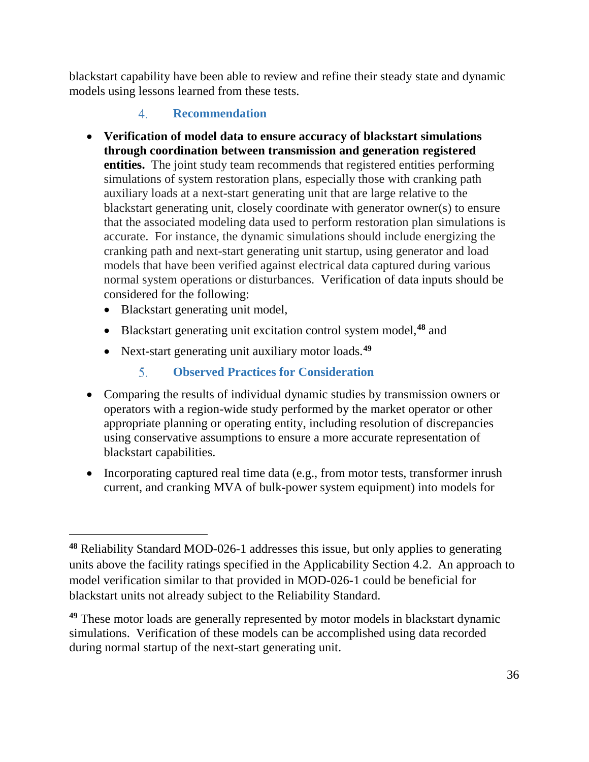blackstart capability have been able to review and refine their steady state and dynamic models using lessons learned from these tests.

#### $\overline{4}$ . **Recommendation**

- <span id="page-39-0"></span>• **Verification of model data to ensure accuracy of blackstart simulations through coordination between transmission and generation registered entities.** The joint study team recommends that registered entities performing simulations of system restoration plans, especially those with cranking path auxiliary loads at a next-start generating unit that are large relative to the blackstart generating unit, closely coordinate with generator owner(s) to ensure that the associated modeling data used to perform restoration plan simulations is accurate. For instance, the dynamic simulations should include energizing the cranking path and next-start generating unit startup, using generator and load models that have been verified against electrical data captured during various normal system operations or disturbances. Verification of data inputs should be considered for the following:
	- Blackstart generating unit model,

- Blackstart generating unit excitation control system model, **[48](#page-39-2)** and
- Next-start generating unit auxiliary motor loads. **[49](#page-39-3)**
	- $5<sub>1</sub>$ **Observed Practices for Consideration**
- <span id="page-39-1"></span>• Comparing the results of individual dynamic studies by transmission owners or operators with a region-wide study performed by the market operator or other appropriate planning or operating entity, including resolution of discrepancies using conservative assumptions to ensure a more accurate representation of blackstart capabilities.
- Incorporating captured real time data (e.g., from motor tests, transformer inrush current, and cranking MVA of bulk-power system equipment) into models for

<span id="page-39-2"></span>**<sup>48</sup>** Reliability Standard MOD-026-1 addresses this issue, but only applies to generating units above the facility ratings specified in the Applicability Section 4.2. An approach to model verification similar to that provided in MOD-026-1 could be beneficial for blackstart units not already subject to the Reliability Standard.

<span id="page-39-3"></span>**<sup>49</sup>** These motor loads are generally represented by motor models in blackstart dynamic simulations. Verification of these models can be accomplished using data recorded during normal startup of the next-start generating unit.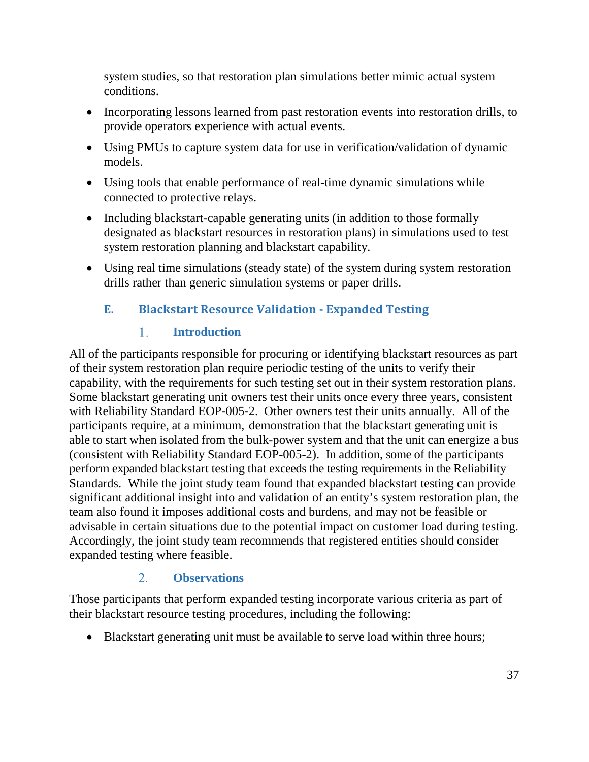system studies, so that restoration plan simulations better mimic actual system conditions.

- Incorporating lessons learned from past restoration events into restoration drills, to provide operators experience with actual events.
- Using PMUs to capture system data for use in verification/validation of dynamic models.
- Using tools that enable performance of real-time dynamic simulations while connected to protective relays.
- Including blackstart-capable generating units (in addition to those formally designated as blackstart resources in restoration plans) in simulations used to test system restoration planning and blackstart capability.
- Using real time simulations (steady state) of the system during system restoration drills rather than generic simulation systems or paper drills.

### <span id="page-40-0"></span>**E. Blackstart Resource Validation - Expanded Testing**

#### 1. **Introduction**

<span id="page-40-1"></span>All of the participants responsible for procuring or identifying blackstart resources as part of their system restoration plan require periodic testing of the units to verify their capability, with the requirements for such testing set out in their system restoration plans. Some blackstart generating unit owners test their units once every three years, consistent with Reliability Standard EOP-005-2. Other owners test their units annually. All of the participants require, at a minimum, demonstration that the blackstart generating unit is able to start when isolated from the bulk-power system and that the unit can energize a bus (consistent with Reliability Standard EOP-005-2). In addition, some of the participants perform expanded blackstart testing that exceeds the testing requirements in the Reliability Standards. While the joint study team found that expanded blackstart testing can provide significant additional insight into and validation of an entity's system restoration plan, the team also found it imposes additional costs and burdens, and may not be feasible or advisable in certain situations due to the potential impact on customer load during testing. Accordingly, the joint study team recommends that registered entities should consider expanded testing where feasible.

#### $2.$ **Observations**

<span id="page-40-2"></span>Those participants that perform expanded testing incorporate various criteria as part of their blackstart resource testing procedures, including the following:

• Blackstart generating unit must be available to serve load within three hours;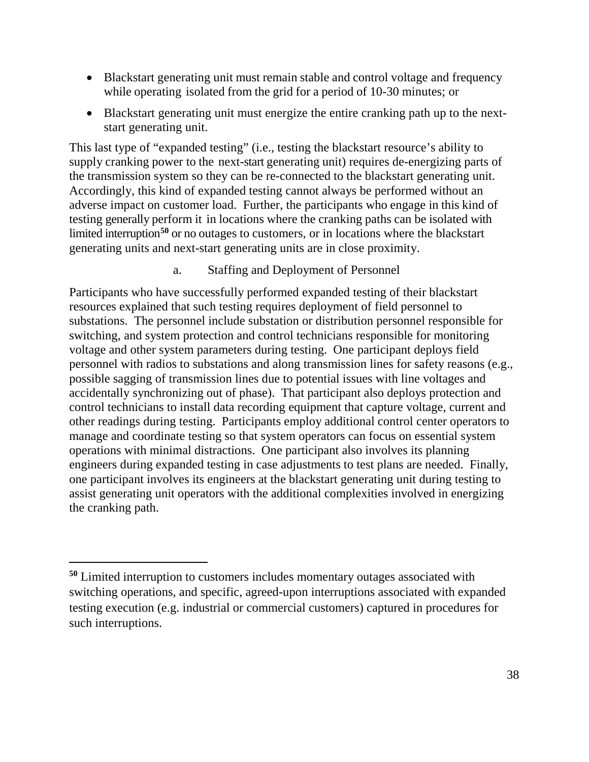- Blackstart generating unit must remain stable and control voltage and frequency while operating isolated from the grid for a period of 10-30 minutes; or
- Blackstart generating unit must energize the entire cranking path up to the nextstart generating unit.

This last type of "expanded testing" (i.e., testing the blackstart resource's ability to supply cranking power to the next-start generating unit) requires de-energizing parts of the transmission system so they can be re-connected to the blackstart generating unit. Accordingly, this kind of expanded testing cannot always be performed without an adverse impact on customer load. Further, the participants who engage in this kind of testing generally perform it in locations where the cranking paths can be isolated with limited interruption<sup>[50](#page-41-0)</sup> or no outages to customers, or in locations where the blackstart generating units and next-start generating units are in close proximity.

a. Staffing and Deployment of Personnel

Participants who have successfully performed expanded testing of their blackstart resources explained that such testing requires deployment of field personnel to substations. The personnel include substation or distribution personnel responsible for switching, and system protection and control technicians responsible for monitoring voltage and other system parameters during testing. One participant deploys field personnel with radios to substations and along transmission lines for safety reasons (e.g., possible sagging of transmission lines due to potential issues with line voltages and accidentally synchronizing out of phase). That participant also deploys protection and control technicians to install data recording equipment that capture voltage, current and other readings during testing. Participants employ additional control center operators to manage and coordinate testing so that system operators can focus on essential system operations with minimal distractions. One participant also involves its planning engineers during expanded testing in case adjustments to test plans are needed. Finally, one participant involves its engineers at the blackstart generating unit during testing to assist generating unit operators with the additional complexities involved in energizing the cranking path.

<span id="page-41-0"></span>**<sup>50</sup>** Limited interruption to customers includes momentary outages associated with switching operations, and specific, agreed-upon interruptions associated with expanded testing execution (e.g. industrial or commercial customers) captured in procedures for such interruptions.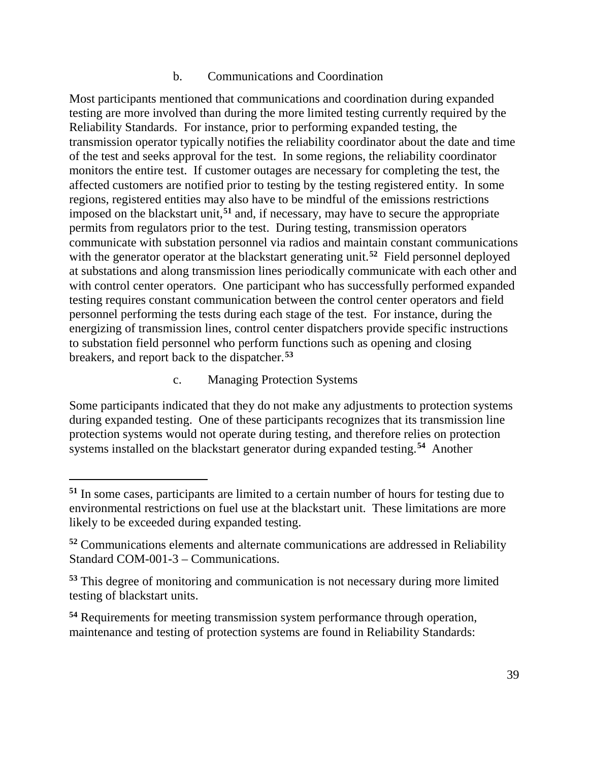### b. Communications and Coordination

Most participants mentioned that communications and coordination during expanded testing are more involved than during the more limited testing currently required by the Reliability Standards. For instance, prior to performing expanded testing, the transmission operator typically notifies the reliability coordinator about the date and time of the test and seeks approval for the test. In some regions, the reliability coordinator monitors the entire test. If customer outages are necessary for completing the test, the affected customers are notified prior to testing by the testing registered entity. In some regions, registered entities may also have to be mindful of the emissions restrictions imposed on the blackstart unit, **[51](#page-42-0)** and, if necessary, may have to secure the appropriate permits from regulators prior to the test. During testing, transmission operators communicate with substation personnel via radios and maintain constant communications with the generator operator at the blackstart generating unit. **[52](#page-42-1)** Field personnel deployed at substations and along transmission lines periodically communicate with each other and with control center operators. One participant who has successfully performed expanded testing requires constant communication between the control center operators and field personnel performing the tests during each stage of the test. For instance, during the energizing of transmission lines, control center dispatchers provide specific instructions to substation field personnel who perform functions such as opening and closing breakers, and report back to the dispatcher.**[53](#page-42-2)**

c. Managing Protection Systems

 $\overline{a}$ 

Some participants indicated that they do not make any adjustments to protection systems during expanded testing. One of these participants recognizes that its transmission line protection systems would not operate during testing, and therefore relies on protection systems installed on the blackstart generator during expanded testing. **[54](#page-42-3)** Another

<span id="page-42-0"></span>**<sup>51</sup>** In some cases, participants are limited to a certain number of hours for testing due to environmental restrictions on fuel use at the blackstart unit. These limitations are more likely to be exceeded during expanded testing.

<span id="page-42-1"></span>**<sup>52</sup>** Communications elements and alternate communications are addressed in Reliability Standard COM-001-3 – Communications.

<span id="page-42-2"></span>**<sup>53</sup>** This degree of monitoring and communication is not necessary during more limited testing of blackstart units.

<span id="page-42-3"></span>**<sup>54</sup>** Requirements for meeting transmission system performance through operation, maintenance and testing of protection systems are found in Reliability Standards: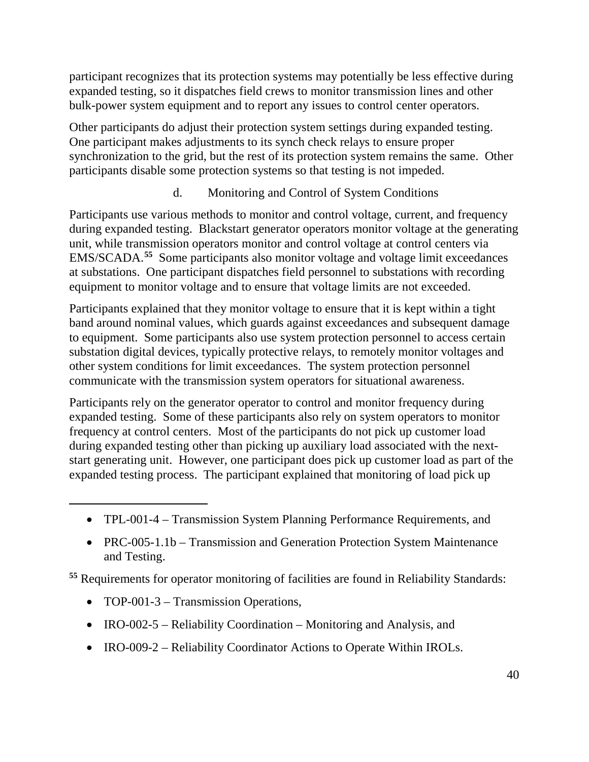participant recognizes that its protection systems may potentially be less effective during expanded testing, so it dispatches field crews to monitor transmission lines and other bulk-power system equipment and to report any issues to control center operators.

Other participants do adjust their protection system settings during expanded testing. One participant makes adjustments to its synch check relays to ensure proper synchronization to the grid, but the rest of its protection system remains the same. Other participants disable some protection systems so that testing is not impeded.

### d. Monitoring and Control of System Conditions

Participants use various methods to monitor and control voltage, current, and frequency during expanded testing. Blackstart generator operators monitor voltage at the generating unit, while transmission operators monitor and control voltage at control centers via EMS/SCADA. **[55](#page-43-0)** Some participants also monitor voltage and voltage limit exceedances at substations. One participant dispatches field personnel to substations with recording equipment to monitor voltage and to ensure that voltage limits are not exceeded.

Participants explained that they monitor voltage to ensure that it is kept within a tight band around nominal values, which guards against exceedances and subsequent damage to equipment. Some participants also use system protection personnel to access certain substation digital devices, typically protective relays, to remotely monitor voltages and other system conditions for limit exceedances. The system protection personnel communicate with the transmission system operators for situational awareness.

Participants rely on the generator operator to control and monitor frequency during expanded testing. Some of these participants also rely on system operators to monitor frequency at control centers. Most of the participants do not pick up customer load during expanded testing other than picking up auxiliary load associated with the nextstart generating unit. However, one participant does pick up customer load as part of the expanded testing process. The participant explained that monitoring of load pick up

- TPL-001-4 Transmission System Planning Performance Requirements, and
- PRC-005-1.1b Transmission and Generation Protection System Maintenance and Testing.

<span id="page-43-0"></span>**<sup>55</sup>** Requirements for operator monitoring of facilities are found in Reliability Standards:

• TOP-001-3 – Transmission Operations,

- IRO-002-5 Reliability Coordination Monitoring and Analysis, and
- IRO-009-2 Reliability Coordinator Actions to Operate Within IROLs.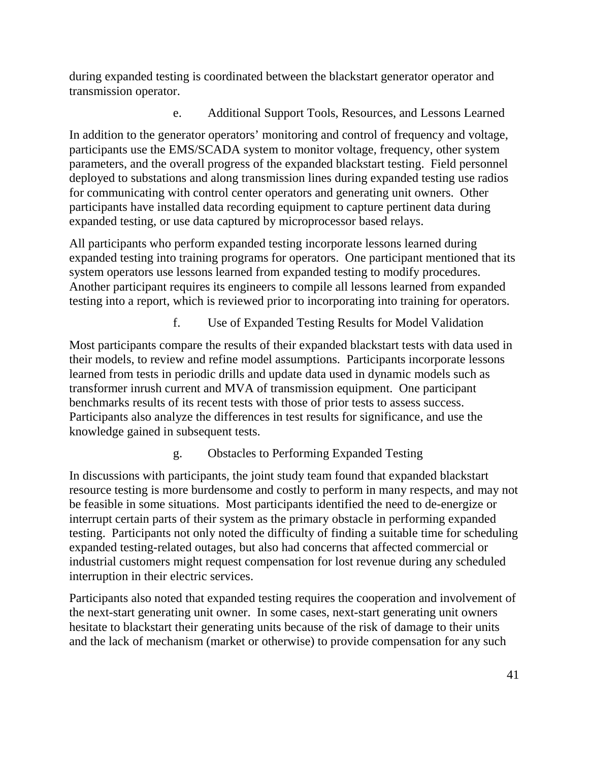during expanded testing is coordinated between the blackstart generator operator and transmission operator.

e. Additional Support Tools, Resources, and Lessons Learned

In addition to the generator operators' monitoring and control of frequency and voltage, participants use the EMS/SCADA system to monitor voltage, frequency, other system parameters, and the overall progress of the expanded blackstart testing. Field personnel deployed to substations and along transmission lines during expanded testing use radios for communicating with control center operators and generating unit owners. Other participants have installed data recording equipment to capture pertinent data during expanded testing, or use data captured by microprocessor based relays.

All participants who perform expanded testing incorporate lessons learned during expanded testing into training programs for operators. One participant mentioned that its system operators use lessons learned from expanded testing to modify procedures. Another participant requires its engineers to compile all lessons learned from expanded testing into a report, which is reviewed prior to incorporating into training for operators.

f. Use of Expanded Testing Results for Model Validation

Most participants compare the results of their expanded blackstart tests with data used in their models, to review and refine model assumptions. Participants incorporate lessons learned from tests in periodic drills and update data used in dynamic models such as transformer inrush current and MVA of transmission equipment. One participant benchmarks results of its recent tests with those of prior tests to assess success. Participants also analyze the differences in test results for significance, and use the knowledge gained in subsequent tests.

g. Obstacles to Performing Expanded Testing

In discussions with participants, the joint study team found that expanded blackstart resource testing is more burdensome and costly to perform in many respects, and may not be feasible in some situations. Most participants identified the need to de-energize or interrupt certain parts of their system as the primary obstacle in performing expanded testing. Participants not only noted the difficulty of finding a suitable time for scheduling expanded testing-related outages, but also had concerns that affected commercial or industrial customers might request compensation for lost revenue during any scheduled interruption in their electric services.

Participants also noted that expanded testing requires the cooperation and involvement of the next-start generating unit owner. In some cases, next-start generating unit owners hesitate to blackstart their generating units because of the risk of damage to their units and the lack of mechanism (market or otherwise) to provide compensation for any such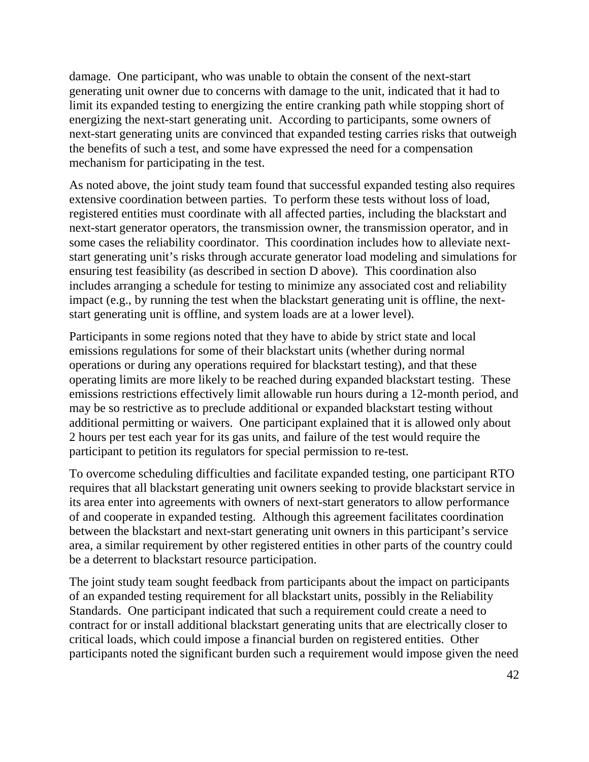damage. One participant, who was unable to obtain the consent of the next-start generating unit owner due to concerns with damage to the unit, indicated that it had to limit its expanded testing to energizing the entire cranking path while stopping short of energizing the next-start generating unit. According to participants, some owners of next-start generating units are convinced that expanded testing carries risks that outweigh the benefits of such a test, and some have expressed the need for a compensation mechanism for participating in the test.

As noted above, the joint study team found that successful expanded testing also requires extensive coordination between parties. To perform these tests without loss of load, registered entities must coordinate with all affected parties, including the blackstart and next-start generator operators, the transmission owner, the transmission operator, and in some cases the reliability coordinator. This coordination includes how to alleviate nextstart generating unit's risks through accurate generator load modeling and simulations for ensuring test feasibility (as described in section D above). This coordination also includes arranging a schedule for testing to minimize any associated cost and reliability impact (e.g., by running the test when the blackstart generating unit is offline, the nextstart generating unit is offline, and system loads are at a lower level).

Participants in some regions noted that they have to abide by strict state and local emissions regulations for some of their blackstart units (whether during normal operations or during any operations required for blackstart testing), and that these operating limits are more likely to be reached during expanded blackstart testing. These emissions restrictions effectively limit allowable run hours during a 12-month period, and may be so restrictive as to preclude additional or expanded blackstart testing without additional permitting or waivers. One participant explained that it is allowed only about 2 hours per test each year for its gas units, and failure of the test would require the participant to petition its regulators for special permission to re-test.

To overcome scheduling difficulties and facilitate expanded testing, one participant RTO requires that all blackstart generating unit owners seeking to provide blackstart service in its area enter into agreements with owners of next-start generators to allow performance of and cooperate in expanded testing. Although this agreement facilitates coordination between the blackstart and next-start generating unit owners in this participant's service area, a similar requirement by other registered entities in other parts of the country could be a deterrent to blackstart resource participation.

The joint study team sought feedback from participants about the impact on participants of an expanded testing requirement for all blackstart units, possibly in the Reliability Standards. One participant indicated that such a requirement could create a need to contract for or install additional blackstart generating units that are electrically closer to critical loads, which could impose a financial burden on registered entities. Other participants noted the significant burden such a requirement would impose given the need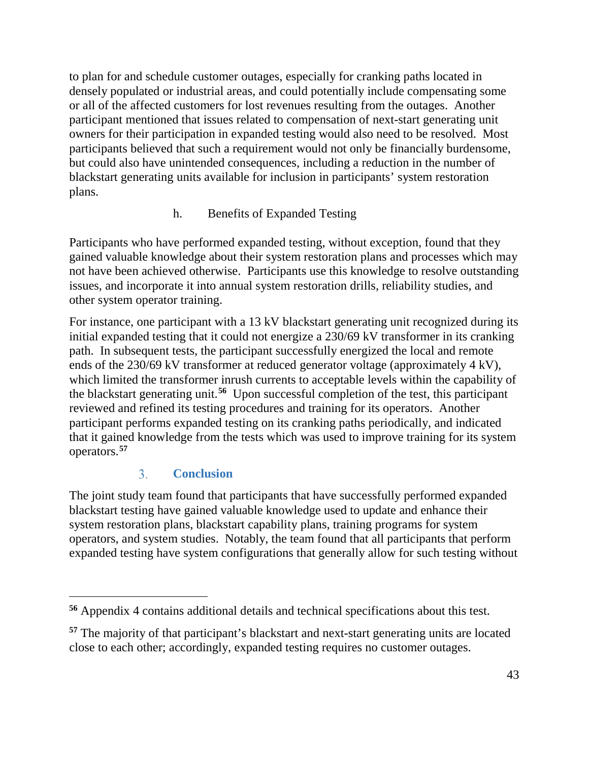to plan for and schedule customer outages, especially for cranking paths located in densely populated or industrial areas, and could potentially include compensating some or all of the affected customers for lost revenues resulting from the outages. Another participant mentioned that issues related to compensation of next-start generating unit owners for their participation in expanded testing would also need to be resolved. Most participants believed that such a requirement would not only be financially burdensome, but could also have unintended consequences, including a reduction in the number of blackstart generating units available for inclusion in participants' system restoration plans.

### h. Benefits of Expanded Testing

Participants who have performed expanded testing, without exception, found that they gained valuable knowledge about their system restoration plans and processes which may not have been achieved otherwise. Participants use this knowledge to resolve outstanding issues, and incorporate it into annual system restoration drills, reliability studies, and other system operator training.

For instance, one participant with a 13 kV blackstart generating unit recognized during its initial expanded testing that it could not energize a 230/69 kV transformer in its cranking path. In subsequent tests, the participant successfully energized the local and remote ends of the 230/69 kV transformer at reduced generator voltage (approximately 4 kV), which limited the transformer inrush currents to acceptable levels within the capability of the blackstart generating unit. **[56](#page-46-1)** Upon successful completion of the test, this participant reviewed and refined its testing procedures and training for its operators. Another participant performs expanded testing on its cranking paths periodically, and indicated that it gained knowledge from the tests which was used to improve training for its system operators.**[57](#page-46-2)**

#### $3<sub>1</sub>$ **Conclusion**

 $\overline{a}$ 

<span id="page-46-0"></span>The joint study team found that participants that have successfully performed expanded blackstart testing have gained valuable knowledge used to update and enhance their system restoration plans, blackstart capability plans, training programs for system operators, and system studies. Notably, the team found that all participants that perform expanded testing have system configurations that generally allow for such testing without

<span id="page-46-1"></span>**<sup>56</sup>** Appendix 4 contains additional details and technical specifications about this test.

<span id="page-46-2"></span>**<sup>57</sup>** The majority of that participant's blackstart and next-start generating units are located close to each other; accordingly, expanded testing requires no customer outages.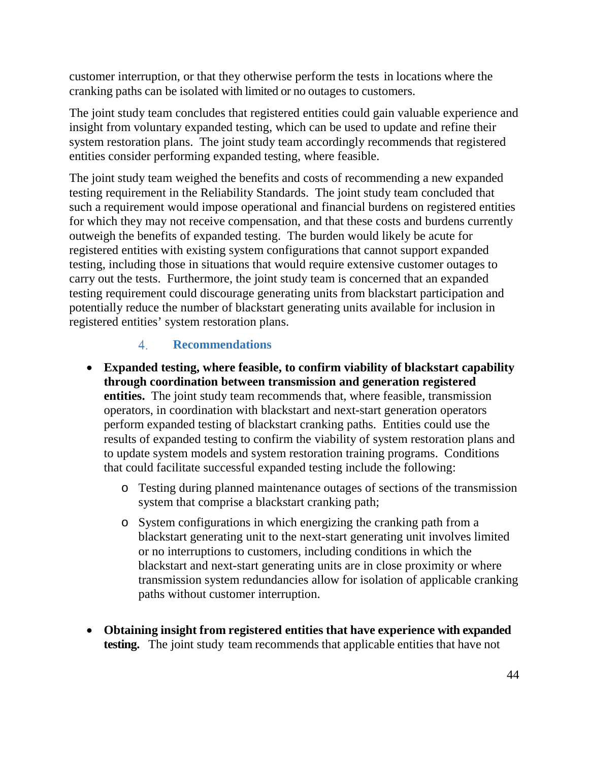customer interruption, or that they otherwise perform the tests in locations where the cranking paths can be isolated with limited or no outages to customers.

The joint study team concludes that registered entities could gain valuable experience and insight from voluntary expanded testing, which can be used to update and refine their system restoration plans. The joint study team accordingly recommends that registered entities consider performing expanded testing, where feasible.

The joint study team weighed the benefits and costs of recommending a new expanded testing requirement in the Reliability Standards. The joint study team concluded that such a requirement would impose operational and financial burdens on registered entities for which they may not receive compensation, and that these costs and burdens currently outweigh the benefits of expanded testing. The burden would likely be acute for registered entities with existing system configurations that cannot support expanded testing, including those in situations that would require extensive customer outages to carry out the tests. Furthermore, the joint study team is concerned that an expanded testing requirement could discourage generating units from blackstart participation and potentially reduce the number of blackstart generating units available for inclusion in registered entities' system restoration plans.

#### $\overline{4}$ . **Recommendations**

- <span id="page-47-0"></span>• **Expanded testing, where feasible, to confirm viability of blackstart capability through coordination between transmission and generation registered entities.** The joint study team recommends that, where feasible, transmission operators, in coordination with blackstart and next-start generation operators perform expanded testing of blackstart cranking paths. Entities could use the results of expanded testing to confirm the viability of system restoration plans and to update system models and system restoration training programs. Conditions that could facilitate successful expanded testing include the following:
	- o Testing during planned maintenance outages of sections of the transmission system that comprise a blackstart cranking path;
	- o System configurations in which energizing the cranking path from a blackstart generating unit to the next-start generating unit involves limited or no interruptions to customers, including conditions in which the blackstart and next-start generating units are in close proximity or where transmission system redundancies allow for isolation of applicable cranking paths without customer interruption.
- **Obtaining insight from registered entities that have experience with expanded testing.** The joint study team recommends that applicable entities that have not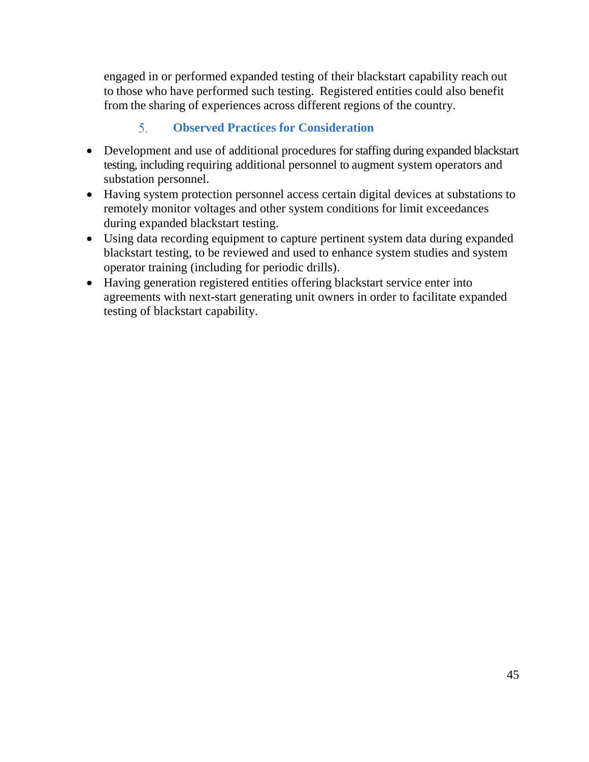engaged in or performed expanded testing of their blackstart capability reach out to those who have performed such testing. Registered entities could also benefit from the sharing of experiences across different regions of the country.

#### $5<sub>1</sub>$ **Observed Practices for Consideration**

- <span id="page-48-0"></span>• Development and use of additional procedures for staffing during expanded blackstart testing, including requiring additional personnel to augment system operators and substation personnel.
- Having system protection personnel access certain digital devices at substations to remotely monitor voltages and other system conditions for limit exceedances during expanded blackstart testing.
- Using data recording equipment to capture pertinent system data during expanded blackstart testing, to be reviewed and used to enhance system studies and system operator training (including for periodic drills).
- Having generation registered entities offering blackstart service enter into agreements with next-start generating unit owners in order to facilitate expanded testing of blackstart capability.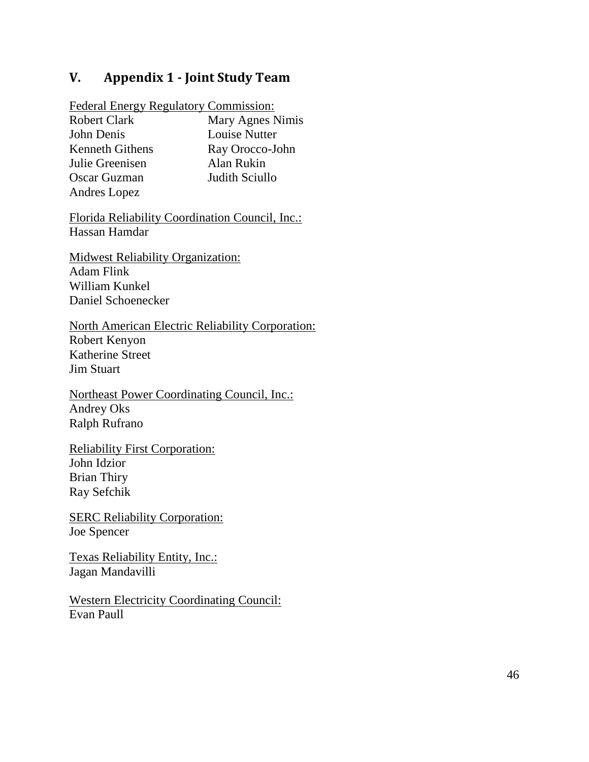### <span id="page-49-0"></span>**V. Appendix 1 - Joint Study Team**

Federal Energy Regulatory Commission:

Robert Clark Mary Agnes Nimis John Denis Louise Nutter Kenneth Githens Ray Orocco-John Julie Greenisen Alan Rukin Oscar Guzman Judith Sciullo Andres Lopez

Florida Reliability Coordination Council, Inc.: Hassan Hamdar

Midwest Reliability Organization: Adam Flink William Kunkel Daniel Schoenecker

North American Electric Reliability Corporation: Robert Kenyon Katherine Street Jim Stuart

Northeast Power Coordinating Council, Inc.: Andrey Oks Ralph Rufrano

Reliability First Corporation: John Idzior Brian Thiry Ray Sefchik

SERC Reliability Corporation: Joe Spencer

Texas Reliability Entity, Inc.: Jagan Mandavilli

Western Electricity Coordinating Council: Evan Paull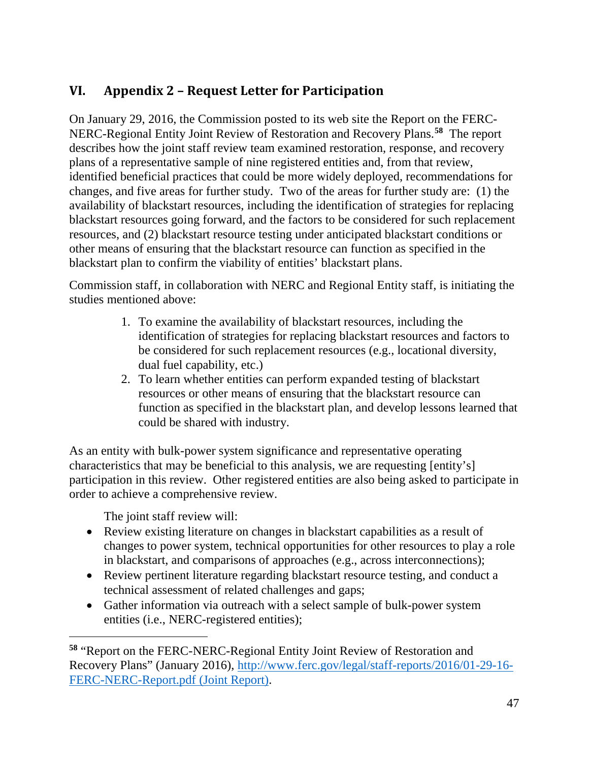# <span id="page-50-0"></span>**VI. Appendix 2 – Request Letter for Participation**

On January 29, 2016, the Commission posted to its web site the Report on the FERC-NERC-Regional Entity Joint Review of Restoration and Recovery Plans. **[58](#page-50-1)** The report describes how the joint staff review team examined restoration, response, and recovery plans of a representative sample of nine registered entities and, from that review, identified beneficial practices that could be more widely deployed, recommendations for changes, and five areas for further study. Two of the areas for further study are: (1) the availability of blackstart resources, including the identification of strategies for replacing blackstart resources going forward, and the factors to be considered for such replacement resources, and (2) blackstart resource testing under anticipated blackstart conditions or other means of ensuring that the blackstart resource can function as specified in the blackstart plan to confirm the viability of entities' blackstart plans.

Commission staff, in collaboration with NERC and Regional Entity staff, is initiating the studies mentioned above:

- 1. To examine the availability of blackstart resources, including the identification of strategies for replacing blackstart resources and factors to be considered for such replacement resources (e.g., locational diversity, dual fuel capability, etc.)
- 2. To learn whether entities can perform expanded testing of blackstart resources or other means of ensuring that the blackstart resource can function as specified in the blackstart plan, and develop lessons learned that could be shared with industry.

As an entity with bulk-power system significance and representative operating characteristics that may be beneficial to this analysis, we are requesting [entity's] participation in this review. Other registered entities are also being asked to participate in order to achieve a comprehensive review.

The joint staff review will:

- Review existing literature on changes in blackstart capabilities as a result of changes to power system, technical opportunities for other resources to play a role in blackstart, and comparisons of approaches (e.g., across interconnections);
- Review pertinent literature regarding blackstart resource testing, and conduct a technical assessment of related challenges and gaps;
- Gather information via outreach with a select sample of bulk-power system entities (i.e., NERC-registered entities);

<span id="page-50-1"></span>**<sup>58</sup>** "Report on the FERC-NERC-Regional Entity Joint Review of Restoration and Recovery Plans" (January 2016), [http://www.ferc.gov/legal/staff-reports/2016/01-29-16-](http://www.ferc.gov/legal/staff-reports/2016/01-29-16-FERC-NERC-Report.pdf) [FERC-NERC-Report.pdf](http://www.ferc.gov/legal/staff-reports/2016/01-29-16-FERC-NERC-Report.pdf) (Joint Report).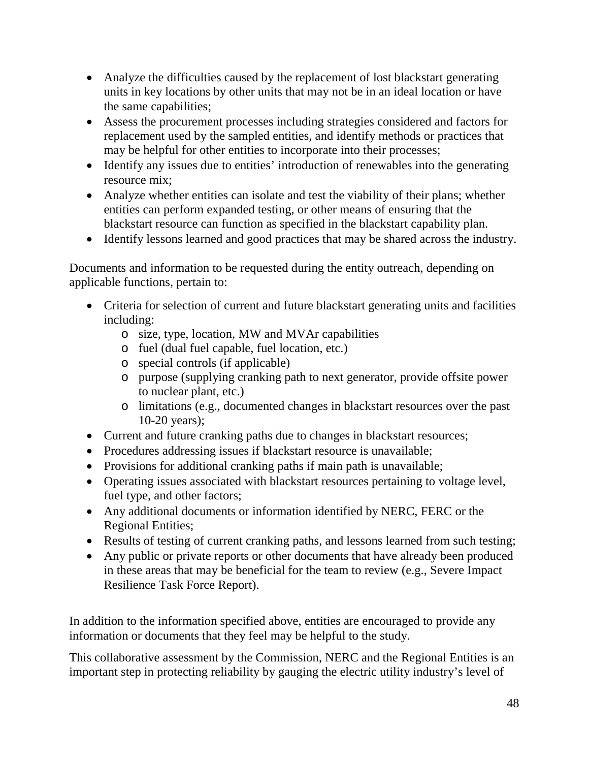- Analyze the difficulties caused by the replacement of lost blackstart generating units in key locations by other units that may not be in an ideal location or have the same capabilities;
- Assess the procurement processes including strategies considered and factors for replacement used by the sampled entities, and identify methods or practices that may be helpful for other entities to incorporate into their processes;
- Identify any issues due to entities' introduction of renewables into the generating resource mix;
- Analyze whether entities can isolate and test the viability of their plans; whether entities can perform expanded testing, or other means of ensuring that the blackstart resource can function as specified in the blackstart capability plan.
- Identify lessons learned and good practices that may be shared across the industry.

Documents and information to be requested during the entity outreach, depending on applicable functions, pertain to:

- Criteria for selection of current and future blackstart generating units and facilities including:
	- o size, type, location, MW and MVAr capabilities
	- o fuel (dual fuel capable, fuel location, etc.)
	- o special controls (if applicable)
	- o purpose (supplying cranking path to next generator, provide offsite power to nuclear plant, etc.)
	- o limitations (e.g., documented changes in blackstart resources over the past 10-20 years);
- Current and future cranking paths due to changes in blackstart resources;
- Procedures addressing issues if blackstart resource is unavailable;
- Provisions for additional cranking paths if main path is unavailable;
- Operating issues associated with blackstart resources pertaining to voltage level, fuel type, and other factors;
- Any additional documents or information identified by NERC, FERC or the Regional Entities;
- Results of testing of current cranking paths, and lessons learned from such testing;
- Any public or private reports or other documents that have already been produced in these areas that may be beneficial for the team to review (e.g., Severe Impact Resilience Task Force Report).

In addition to the information specified above, entities are encouraged to provide any information or documents that they feel may be helpful to the study.

This collaborative assessment by the Commission, NERC and the Regional Entities is an important step in protecting reliability by gauging the electric utility industry's level of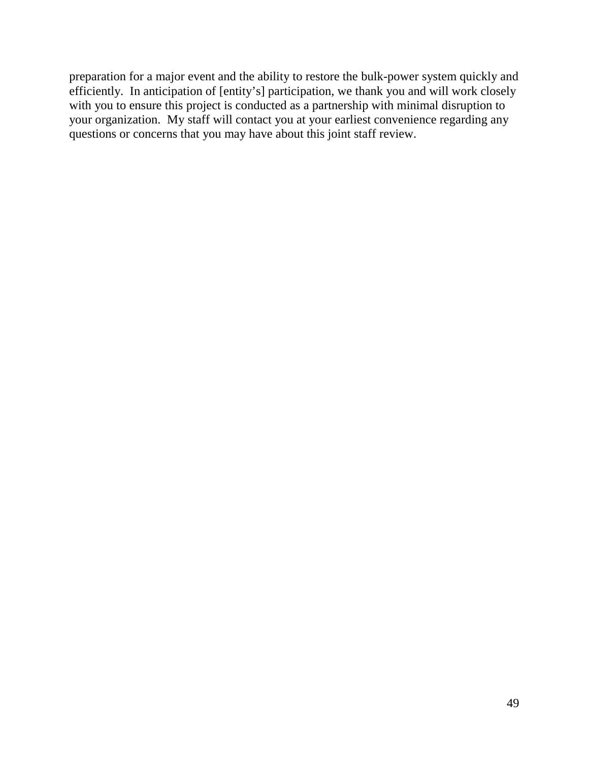preparation for a major event and the ability to restore the bulk-power system quickly and efficiently. In anticipation of [entity's] participation, we thank you and will work closely with you to ensure this project is conducted as a partnership with minimal disruption to your organization. My staff will contact you at your earliest convenience regarding any questions or concerns that you may have about this joint staff review.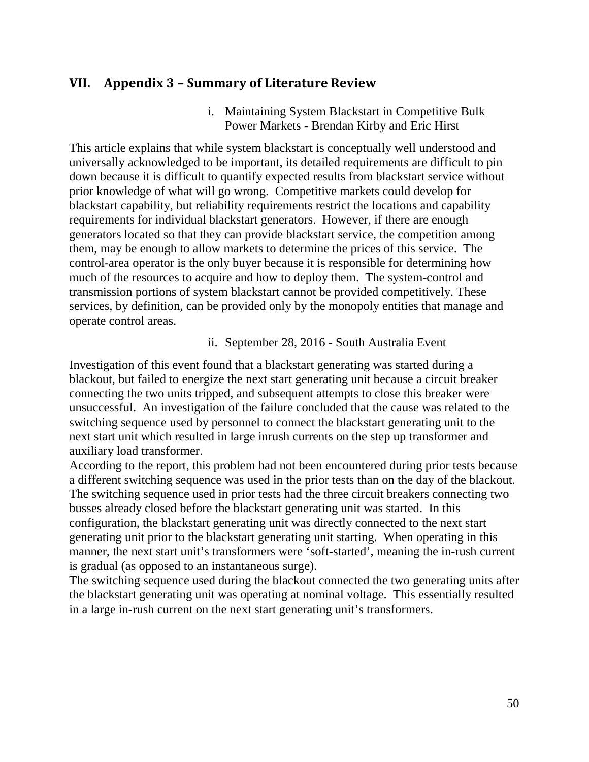### <span id="page-53-0"></span>**VII. Appendix 3 – Summary of Literature Review**

i. Maintaining System Blackstart in Competitive Bulk Power Markets - Brendan Kirby and Eric Hirst

This article explains that while system blackstart is conceptually well understood and universally acknowledged to be important, its detailed requirements are difficult to pin down because it is difficult to quantify expected results from blackstart service without prior knowledge of what will go wrong. Competitive markets could develop for blackstart capability, but reliability requirements restrict the locations and capability requirements for individual blackstart generators. However, if there are enough generators located so that they can provide blackstart service, the competition among them, may be enough to allow markets to determine the prices of this service. The control-area operator is the only buyer because it is responsible for determining how much of the resources to acquire and how to deploy them. The system-control and transmission portions of system blackstart cannot be provided competitively. These services, by definition, can be provided only by the monopoly entities that manage and operate control areas.

ii. September 28, 2016 - South Australia Event

Investigation of this event found that a blackstart generating was started during a blackout, but failed to energize the next start generating unit because a circuit breaker connecting the two units tripped, and subsequent attempts to close this breaker were unsuccessful. An investigation of the failure concluded that the cause was related to the switching sequence used by personnel to connect the blackstart generating unit to the next start unit which resulted in large inrush currents on the step up transformer and auxiliary load transformer.

According to the report, this problem had not been encountered during prior tests because a different switching sequence was used in the prior tests than on the day of the blackout. The switching sequence used in prior tests had the three circuit breakers connecting two busses already closed before the blackstart generating unit was started. In this configuration, the blackstart generating unit was directly connected to the next start generating unit prior to the blackstart generating unit starting. When operating in this manner, the next start unit's transformers were 'soft-started', meaning the in-rush current is gradual (as opposed to an instantaneous surge).

The switching sequence used during the blackout connected the two generating units after the blackstart generating unit was operating at nominal voltage. This essentially resulted in a large in-rush current on the next start generating unit's transformers.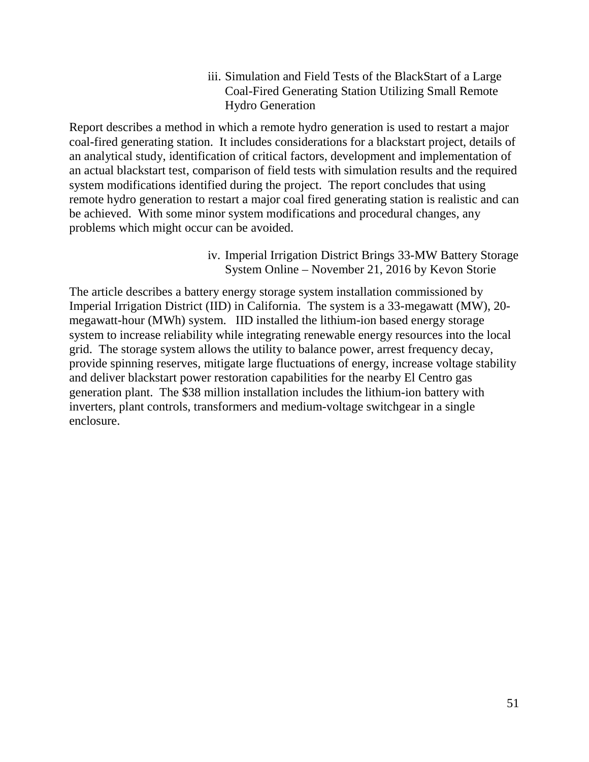iii. Simulation and Field Tests of the BlackStart of a Large Coal-Fired Generating Station Utilizing Small Remote Hydro Generation

Report describes a method in which a remote hydro generation is used to restart a major coal-fired generating station. It includes considerations for a blackstart project, details of an analytical study, identification of critical factors, development and implementation of an actual blackstart test, comparison of field tests with simulation results and the required system modifications identified during the project. The report concludes that using remote hydro generation to restart a major coal fired generating station is realistic and can be achieved. With some minor system modifications and procedural changes, any problems which might occur can be avoided.

> iv. Imperial Irrigation District Brings 33-MW Battery Storage System Online – November 21, 2016 by Kevon Storie

The article describes a battery energy storage system installation commissioned by [Imperial Irrigation District](http://www.iid.com/) (IID) in California. The system is a 33-megawatt (MW), 20 megawatt-hour (MWh) system. IID installed the lithium-ion based energy storage system to increase reliability while integrating renewable energy resources into the local grid. The storage system allows the utility to balance power, arrest frequency decay, provide spinning reserves, mitigate large fluctuations of energy, increase voltage stability and deliver blackstart power restoration capabilities for the nearby El Centro gas generation plant. The \$38 million installation includes the lithium-ion battery with inverters, plant controls, transformers and medium-voltage switchgear in a single enclosure.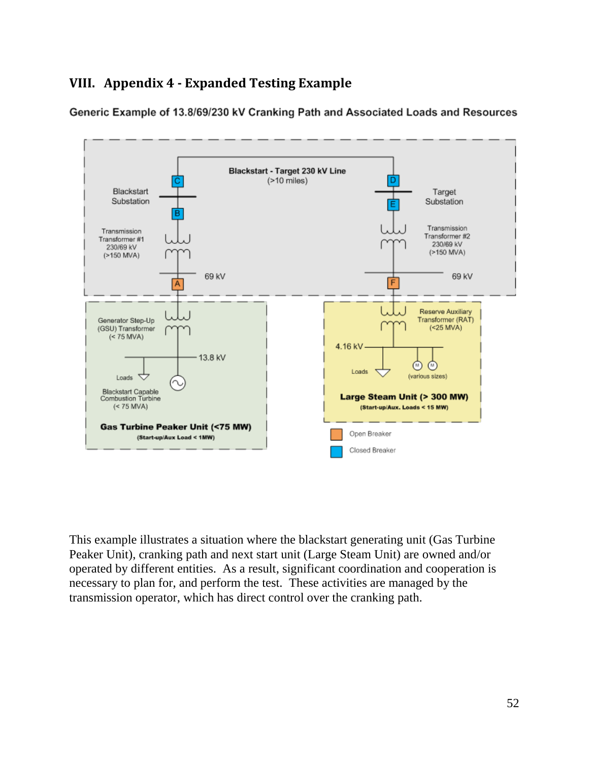# <span id="page-55-0"></span>**VIII. Appendix 4 - Expanded Testing Example**

Generic Example of 13.8/69/230 kV Cranking Path and Associated Loads and Resources



This example illustrates a situation where the blackstart generating unit (Gas Turbine Peaker Unit), cranking path and next start unit (Large Steam Unit) are owned and/or operated by different entities. As a result, significant coordination and cooperation is necessary to plan for, and perform the test. These activities are managed by the transmission operator, which has direct control over the cranking path.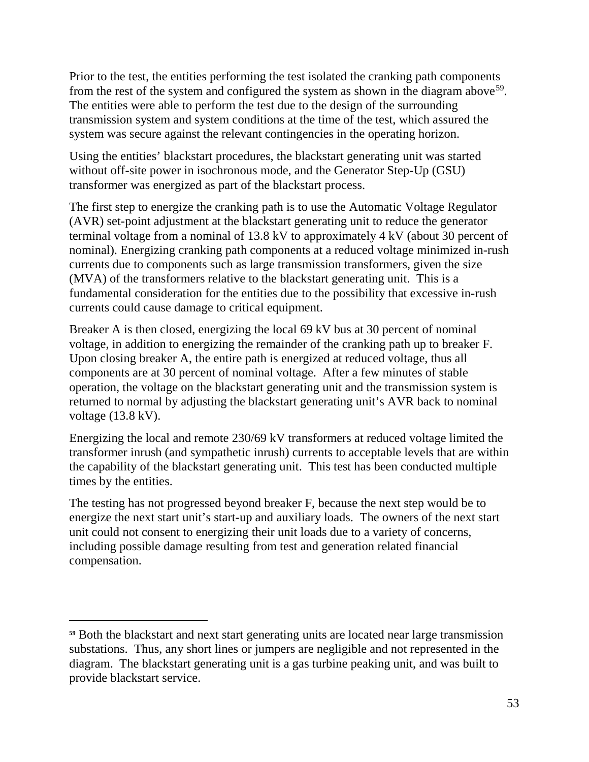Prior to the test, the entities performing the test isolated the cranking path components from the rest of the system and configured the system as shown in the diagram above  $59$ . The entities were able to perform the test due to the design of the surrounding transmission system and system conditions at the time of the test, which assured the system was secure against the relevant contingencies in the operating horizon.

Using the entities' blackstart procedures, the blackstart generating unit was started without off-site power in isochronous mode, and the Generator Step-Up (GSU) transformer was energized as part of the blackstart process.

The first step to energize the cranking path is to use the Automatic Voltage Regulator (AVR) set-point adjustment at the blackstart generating unit to reduce the generator terminal voltage from a nominal of 13.8 kV to approximately 4 kV (about 30 percent of nominal). Energizing cranking path components at a reduced voltage minimized in-rush currents due to components such as large transmission transformers, given the size (MVA) of the transformers relative to the blackstart generating unit. This is a fundamental consideration for the entities due to the possibility that excessive in-rush currents could cause damage to critical equipment.

Breaker A is then closed, energizing the local 69 kV bus at 30 percent of nominal voltage, in addition to energizing the remainder of the cranking path up to breaker F. Upon closing breaker A, the entire path is energized at reduced voltage, thus all components are at 30 percent of nominal voltage. After a few minutes of stable operation, the voltage on the blackstart generating unit and the transmission system is returned to normal by adjusting the blackstart generating unit's AVR back to nominal voltage (13.8 kV).

Energizing the local and remote 230/69 kV transformers at reduced voltage limited the transformer inrush (and sympathetic inrush) currents to acceptable levels that are within the capability of the blackstart generating unit. This test has been conducted multiple times by the entities.

The testing has not progressed beyond breaker F, because the next step would be to energize the next start unit's start-up and auxiliary loads. The owners of the next start unit could not consent to energizing their unit loads due to a variety of concerns, including possible damage resulting from test and generation related financial compensation.

<span id="page-56-0"></span>**<sup>59</sup>** Both the blackstart and next start generating units are located near large transmission substations. Thus, any short lines or jumpers are negligible and not represented in the diagram. The blackstart generating unit is a gas turbine peaking unit, and was built to provide blackstart service.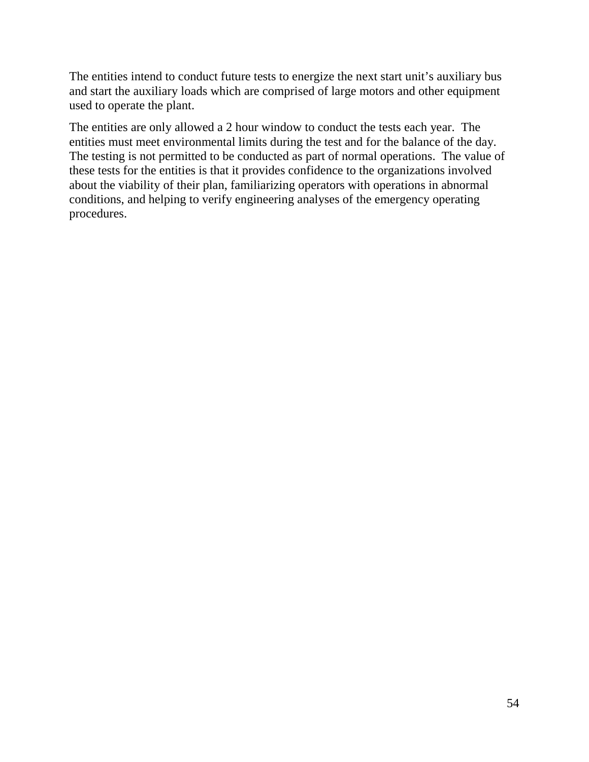The entities intend to conduct future tests to energize the next start unit's auxiliary bus and start the auxiliary loads which are comprised of large motors and other equipment used to operate the plant.

The entities are only allowed a 2 hour window to conduct the tests each year. The entities must meet environmental limits during the test and for the balance of the day. The testing is not permitted to be conducted as part of normal operations. The value of these tests for the entities is that it provides confidence to the organizations involved about the viability of their plan, familiarizing operators with operations in abnormal conditions, and helping to verify engineering analyses of the emergency operating procedures.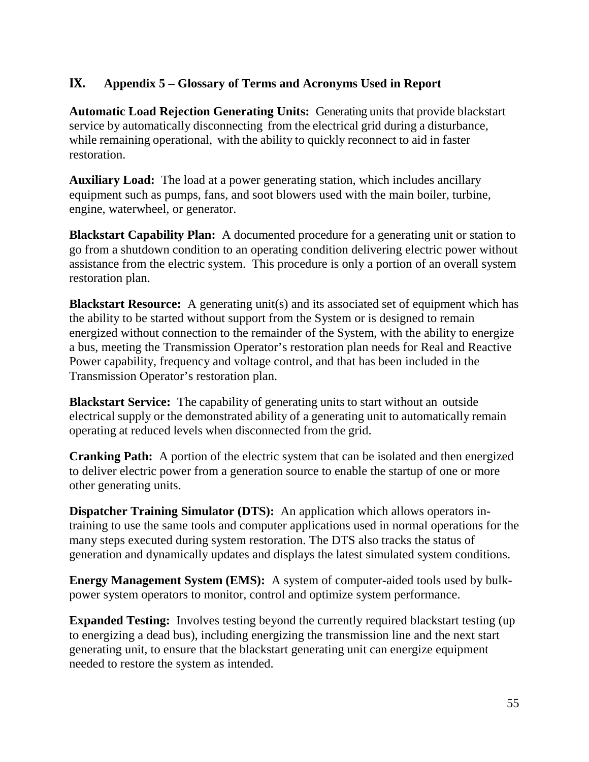### <span id="page-58-0"></span>**IX. Appendix 5 – Glossary of Terms and Acronyms Used in Report**

**Automatic Load Rejection Generating Units:** Generating units that provide blackstart service by automatically disconnecting from the electrical grid during a disturbance, while remaining operational, with the ability to quickly reconnect to aid in faster restoration.

**Auxiliary Load:** The load at a power generating station, which includes ancillary equipment such as pumps, fans, and soot blowers used with the main boiler, turbine, engine, waterwheel, or generator.

**Blackstart Capability Plan:** A documented procedure for a generating unit or station to go from a shutdown condition to an operating condition delivering electric power without assistance from the electric system. This procedure is only a portion of an overall system restoration plan.

**Blackstart Resource:** A generating unit(s) and its associated set of equipment which has the ability to be started without support from the System or is designed to remain energized without connection to the remainder of the System, with the ability to energize a bus, meeting the Transmission Operator's restoration plan needs for Real and Reactive Power capability, frequency and voltage control, and that has been included in the Transmission Operator's restoration plan.

**Blackstart Service:** The capability of generating units to start without an outside electrical supply or the demonstrated ability of a generating unit to automatically remain operating at reduced levels when disconnected from the grid.

**Cranking Path:** A portion of the electric system that can be isolated and then energized to deliver electric power from a generation source to enable the startup of one or more other generating units.

**Dispatcher Training Simulator (DTS):** An application which allows operators intraining to use the same tools and computer applications used in normal operations for the many steps executed during system restoration. The DTS also tracks the status of generation and dynamically updates and displays the latest simulated system conditions.

**Energy Management System (EMS):** A system of computer-aided tools used by bulkpower system operators to monitor, control and optimize system performance.

**Expanded Testing:** Involves testing beyond the currently required blackstart testing (up) to energizing a dead bus), including energizing the transmission line and the next start generating unit, to ensure that the blackstart generating unit can energize equipment needed to restore the system as intended.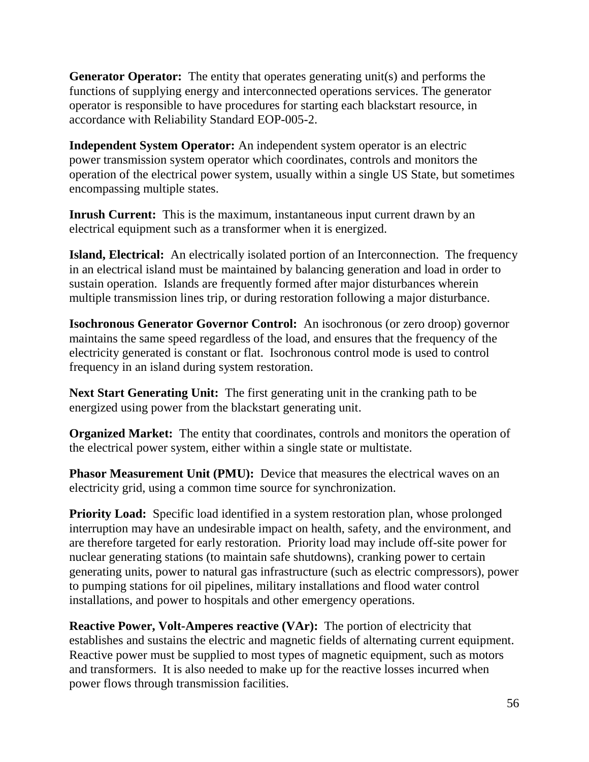**Generator Operator:** The entity that operates generating unit(s) and performs the functions of supplying energy and interconnected operations services. The generator operator is responsible to have procedures for starting each blackstart resource, in accordance with Reliability Standard EOP-005-2.

**Independent System Operator:** An independent system operator is an [electric](https://en.wikipedia.org/wiki/Electric_power_transmission)  [power](https://en.wikipedia.org/wiki/Electric_power_transmission) [transmission system operator](https://en.wikipedia.org/wiki/Transmission_system_operator) which coordinates, controls and monitors the operation of the [electrical power](https://en.wikipedia.org/wiki/Electric_power_transmission) system, usually within a single [US](https://en.wikipedia.org/wiki/United_States) State, but sometimes encompassing multiple states.

**Inrush Current:** This is the maximum, instantaneous input current drawn by an electrical equipment such as a transformer when it is energized.

**Island, Electrical:** An electrically isolated portion of an Interconnection. The frequency in an electrical island must be maintained by balancing generation and load in order to sustain operation. Islands are frequently formed after major disturbances wherein multiple transmission lines trip, or during restoration following a major disturbance.

**Isochronous Generator Governor Control:** An isochronous (or zero droop) governor maintains the same speed regardless of the load, and ensures that the frequency of the electricity generated is constant or flat. Isochronous control mode is used to control frequency in an island during system restoration.

**Next Start Generating Unit:** The first generating unit in the cranking path to be energized using power from the blackstart generating unit.

**Organized Market:** The entity that coordinates, controls and monitors the operation of the [electrical power](https://en.wikipedia.org/wiki/Electric_power_transmission) system, either within a single state or multistate.

**Phasor Measurement Unit (PMU):** Device that measures the electrical waves on an electricity grid, using a common time source for synchronization.

**Priority Load:** Specific load identified in a system restoration plan, whose prolonged interruption may have an undesirable impact on health, safety, and the environment, and are therefore targeted for early restoration. Priority load may include off-site power for nuclear generating stations (to maintain safe shutdowns), cranking power to certain generating units, power to natural gas infrastructure (such as electric compressors), power to pumping stations for oil pipelines, military installations and flood water control installations, and power to hospitals and other emergency operations.

**Reactive Power, Volt-Amperes reactive (VAr):** The portion of electricity that establishes and sustains the electric and magnetic fields of alternating current equipment. Reactive power must be supplied to most types of magnetic equipment, such as motors and transformers. It is also needed to make up for the reactive losses incurred when power flows through transmission facilities.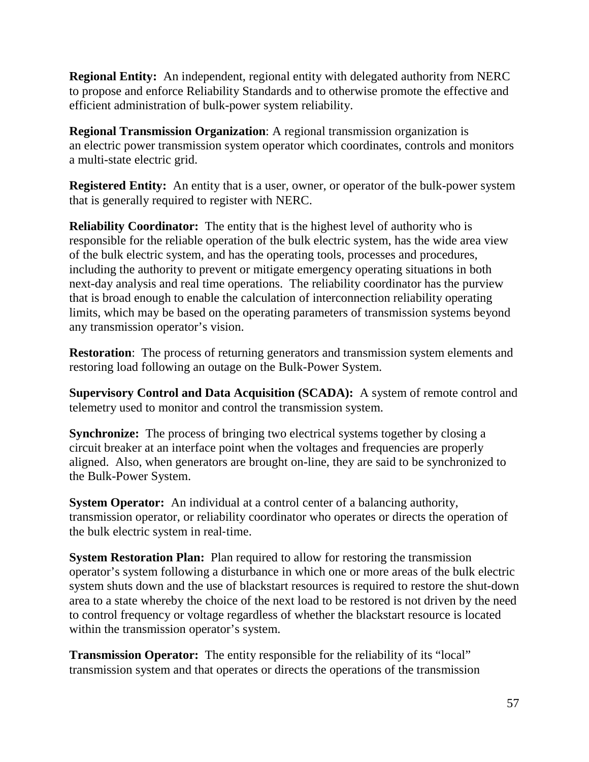**Regional Entity:** An independent, regional entity with delegated authority from NERC to propose and enforce Reliability Standards and to otherwise promote the effective and efficient administration of bulk-power system reliability.

**Regional Transmission Organization**: A regional transmission organization is an [electric power](https://en.wikipedia.org/wiki/Electric_power_transmission) [transmission system operator](https://en.wikipedia.org/wiki/Transmission_system_operator) which coordinates, controls and monitors a multi-state electric [grid.](https://en.wikipedia.org/wiki/Grid_(electricity))

**Registered Entity:** An entity that is a user, owner, or operator of the bulk-power system that is generally required to register with NERC.

**Reliability Coordinator:** The entity that is the highest level of authority who is responsible for the reliable operation of the bulk electric system, has the wide area view of the bulk electric system, and has the operating tools, processes and procedures, including the authority to prevent or mitigate emergency operating situations in both next-day analysis and real time operations. The reliability coordinator has the purview that is broad enough to enable the calculation of interconnection reliability operating limits, which may be based on the operating parameters of transmission systems beyond any transmission operator's vision.

**Restoration:** The process of returning generators and transmission system elements and restoring load following an outage on the Bulk-Power System.

**Supervisory Control and Data Acquisition (SCADA):** A system of remote control and telemetry used to monitor and control the transmission system.

**Synchronize:** The process of bringing two electrical systems together by closing a circuit breaker at an interface point when the voltages and frequencies are properly aligned. Also, when generators are brought on-line, they are said to be synchronized to the Bulk-Power System.

**System Operator:** An individual at a control center of a balancing authority, transmission operator, or reliability coordinator who operates or directs the operation of the bulk electric system in real-time.

**System Restoration Plan:** Plan required to allow for restoring the transmission operator's system following a disturbance in which one or more areas of the bulk electric system shuts down and the use of blackstart resources is required to restore the shut-down area to a state whereby the choice of the next load to be restored is not driven by the need to control frequency or voltage regardless of whether the blackstart resource is located within the transmission operator's system.

**Transmission Operator:** The entity responsible for the reliability of its "local" transmission system and that operates or directs the operations of the transmission